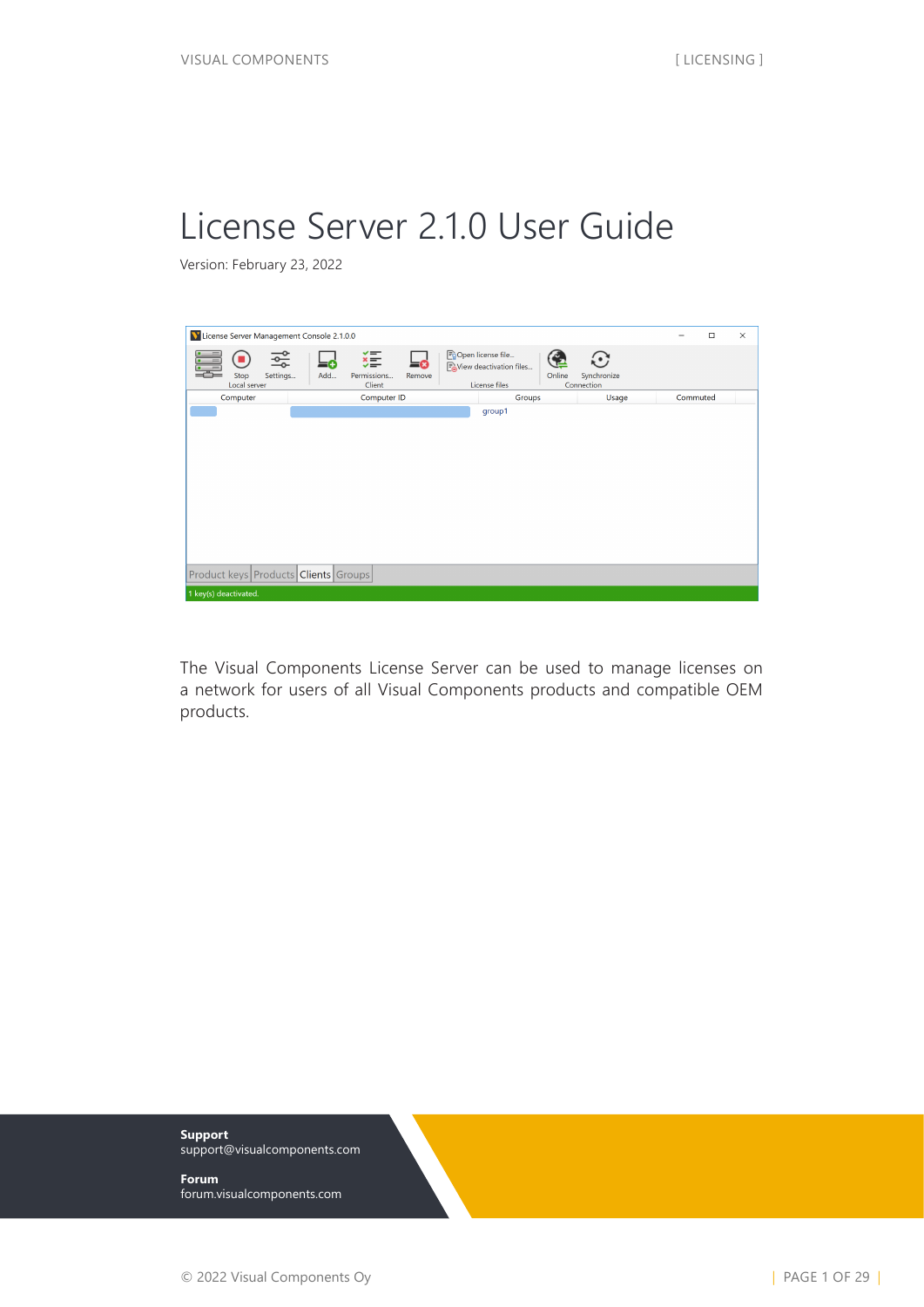# License Server 2.1.0 User Guide

Version: February 23, 2022



The Visual Components License Server can be used to manage licenses on a network for users of all Visual Components products and compatible OEM products.

**Support** [support@visualcomponents.com](mailto:support%40visualcomponents.com?subject=)

**Forum** [forum.visualcomponents.com](http://forum.visualcomponents.com)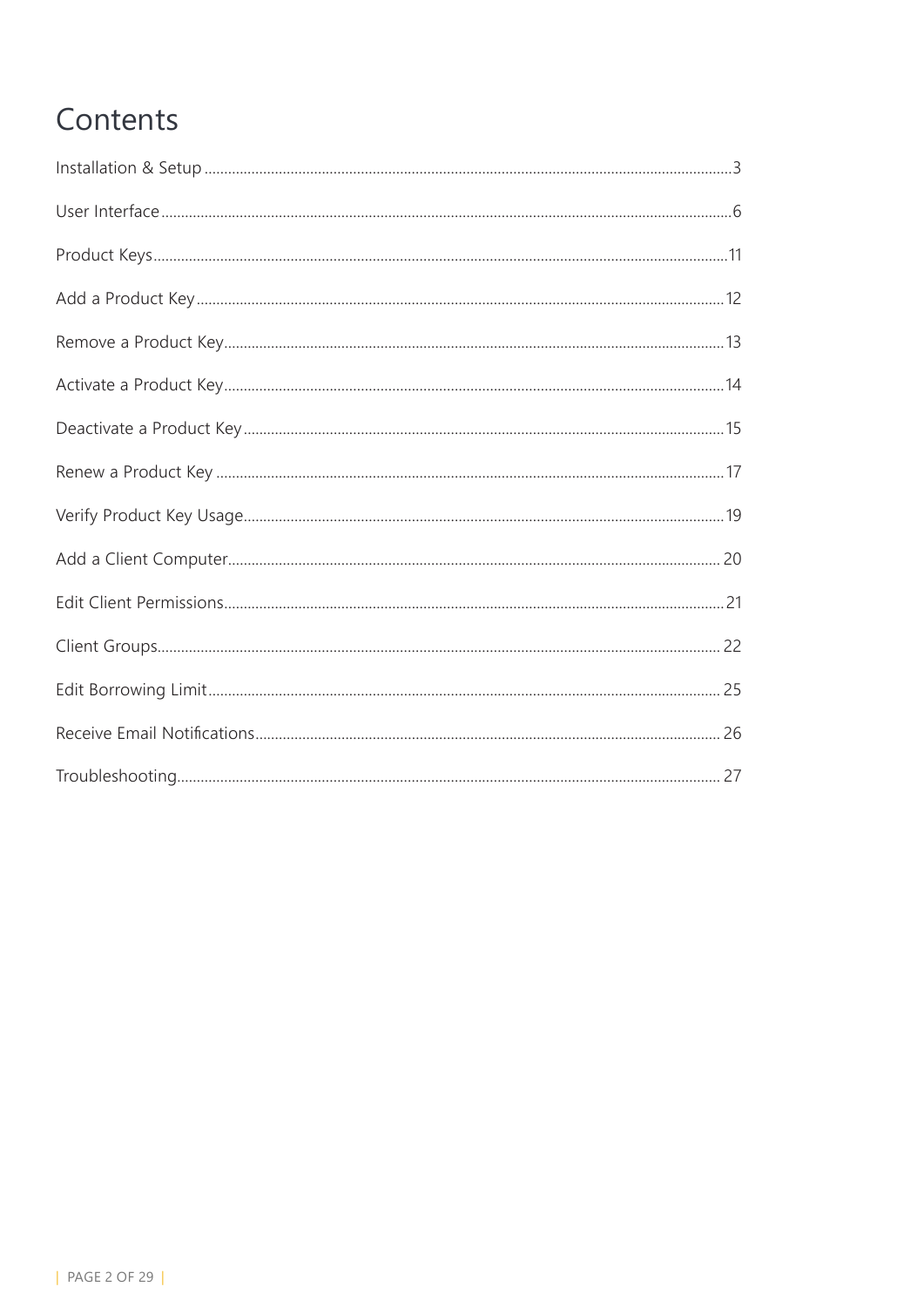# Contents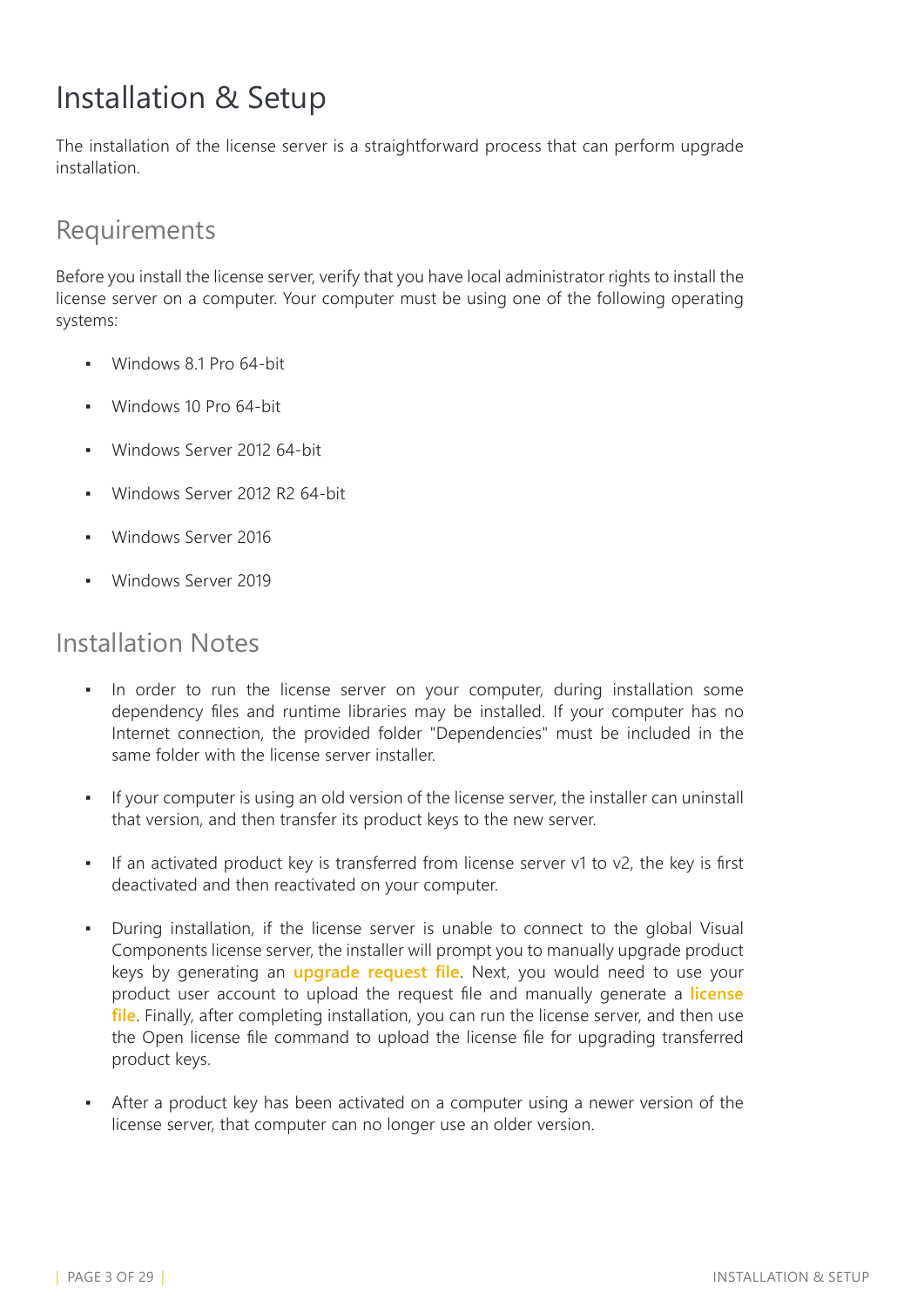## <span id="page-2-0"></span>Installation & Setup

The installation of the license server is a straightforward process that can perform upgrade installation.

#### Requirements

Before you install the license server, verify that you have local administrator rights to install the license server on a computer. Your computer must be using one of the following operating systems:

- Windows 8.1 Pro 64-bit
- **Windows 10 Pro 64-bit**
- Windows Server 2012 64-bit
- Windows Server 2012 R2 64-bit
- Windows Server 2016
- Windows Server 2019

#### Installation Notes

- In order to run the license server on your computer, during installation some dependency files and runtime libraries may be installed. If your computer has no Internet connection, the provided folder "Dependencies" must be included in the same folder with the license server installer.
- If your computer is using an old version of the license server, the installer can uninstall that version, and then transfer its product keys to the new server.
- If an activated product key is transferred from license server v1 to v2, the key is first deactivated and then reactivated on your computer.
- During installation, if the license server is unable to connect to the global Visual Components license server, the installer will prompt you to manually upgrade product keys by generating an **upgrade request file**. Next, you would need to use your product user account to upload the request file and manually generate a **license file**. Finally, after completing installation, you can run the license server, and then use the Open license file command to upload the license file for upgrading transferred product keys.
- After a product key has been activated on a computer using a newer version of the license server, that computer can no longer use an older version.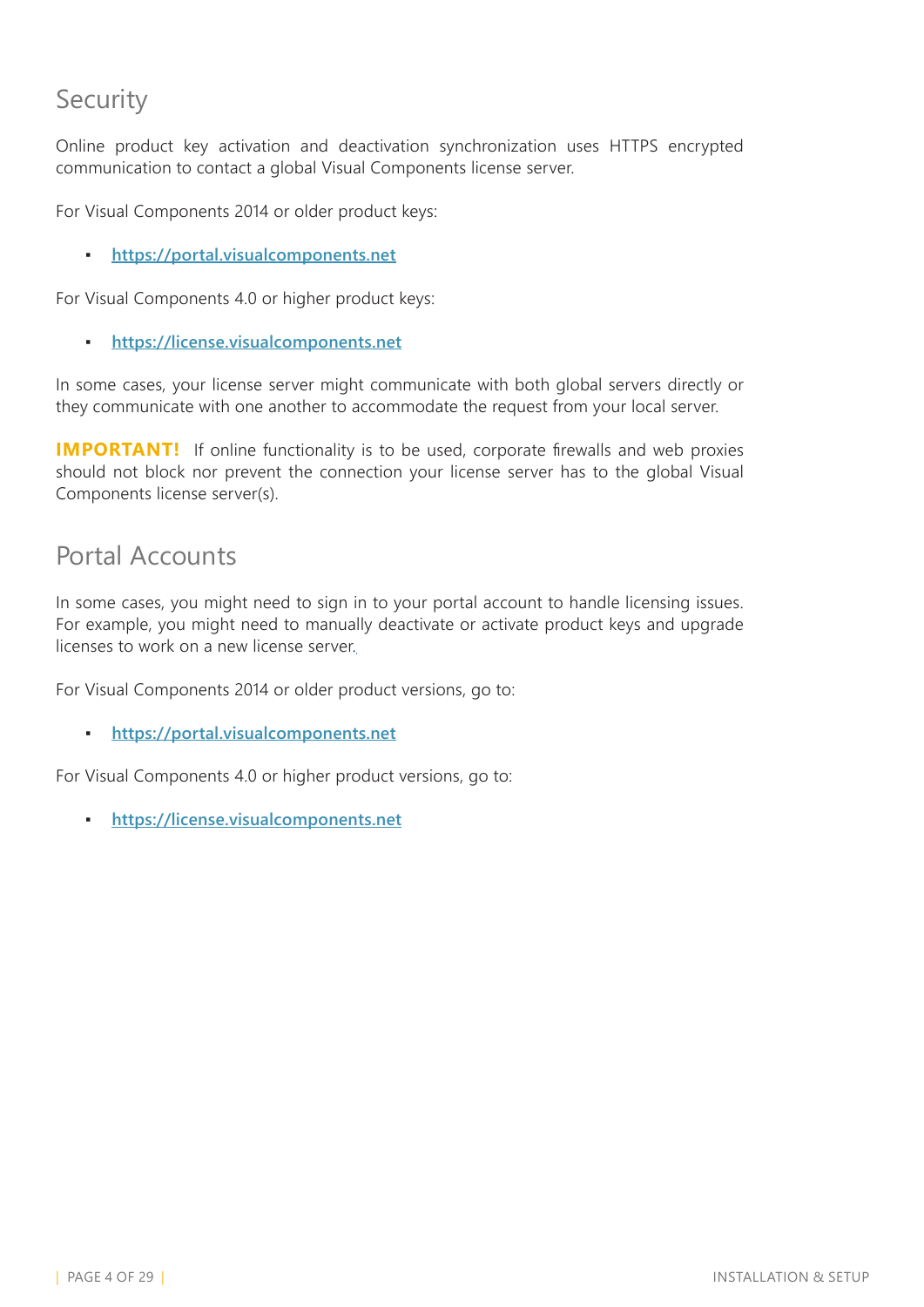### Security

Online product key activation and deactivation synchronization uses HTTPS encrypted communication to contact a global Visual Components license server.

For Visual Components 2014 or older product keys:

▪ **<https://portal.visualcomponents.net>**

For Visual Components 4.0 or higher product keys:

▪ **<https://license.visualcomponents.net>**

In some cases, your license server might communicate with both global servers directly or they communicate with one another to accommodate the request from your local server.

**IMPORTANT!** If online functionality is to be used, corporate firewalls and web proxies should not block nor prevent the connection your license server has to the global Visual Components license server(s).

#### Portal Accounts

In some cases, you might need to sign in to your portal account to handle licensing issues. For example, you might need to manually deactivate or activate product keys and upgrade licenses to work on a new license server.

For Visual Components 2014 or older product versions, go to:

▪ **<https://portal.visualcomponents.net>**

For Visual Components 4.0 or higher product versions, go to:

▪ **<https://license.visualcomponents.net>**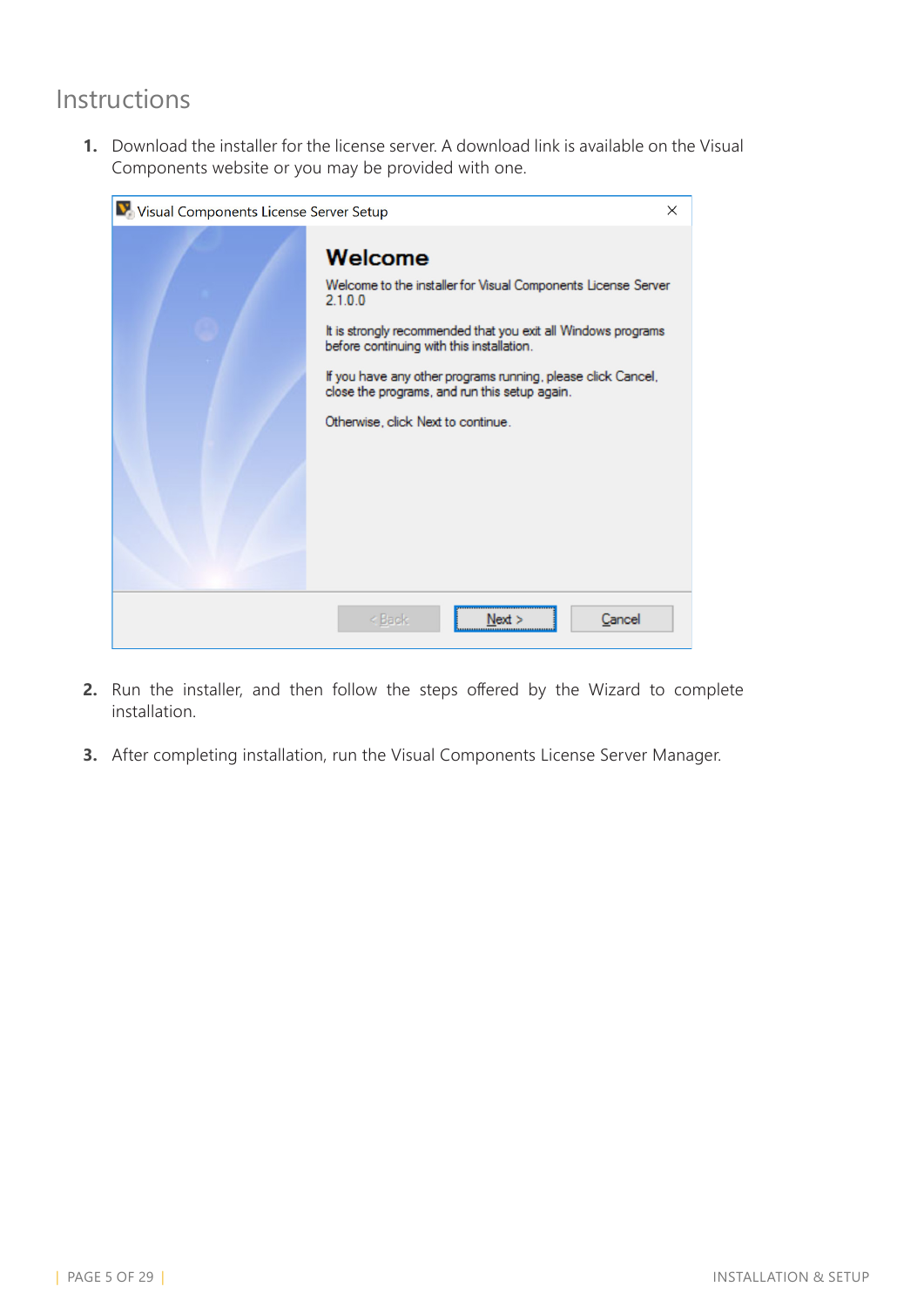### Instructions

**1.** Download the installer for the license server. A download link is available on the Visual Components website or you may be provided with one.

| Visual Components License Server Setup |                                                                                                                                                                                                                                                                                                                                                          | $\times$ |
|----------------------------------------|----------------------------------------------------------------------------------------------------------------------------------------------------------------------------------------------------------------------------------------------------------------------------------------------------------------------------------------------------------|----------|
|                                        | Welcome<br>Welcome to the installer for Visual Components License Server<br>2.1.0.0<br>It is strongly recommended that you exit all Windows programs<br>before continuing with this installation.<br>If you have any other programs running, please click Cancel,<br>close the programs, and run this setup again.<br>Otherwise, click Next to continue. |          |
|                                        | Cancel<br>< Back<br>Next >                                                                                                                                                                                                                                                                                                                               |          |

- **2.** Run the installer, and then follow the steps offered by the Wizard to complete installation.
- **3.** After completing installation, run the Visual Components License Server Manager.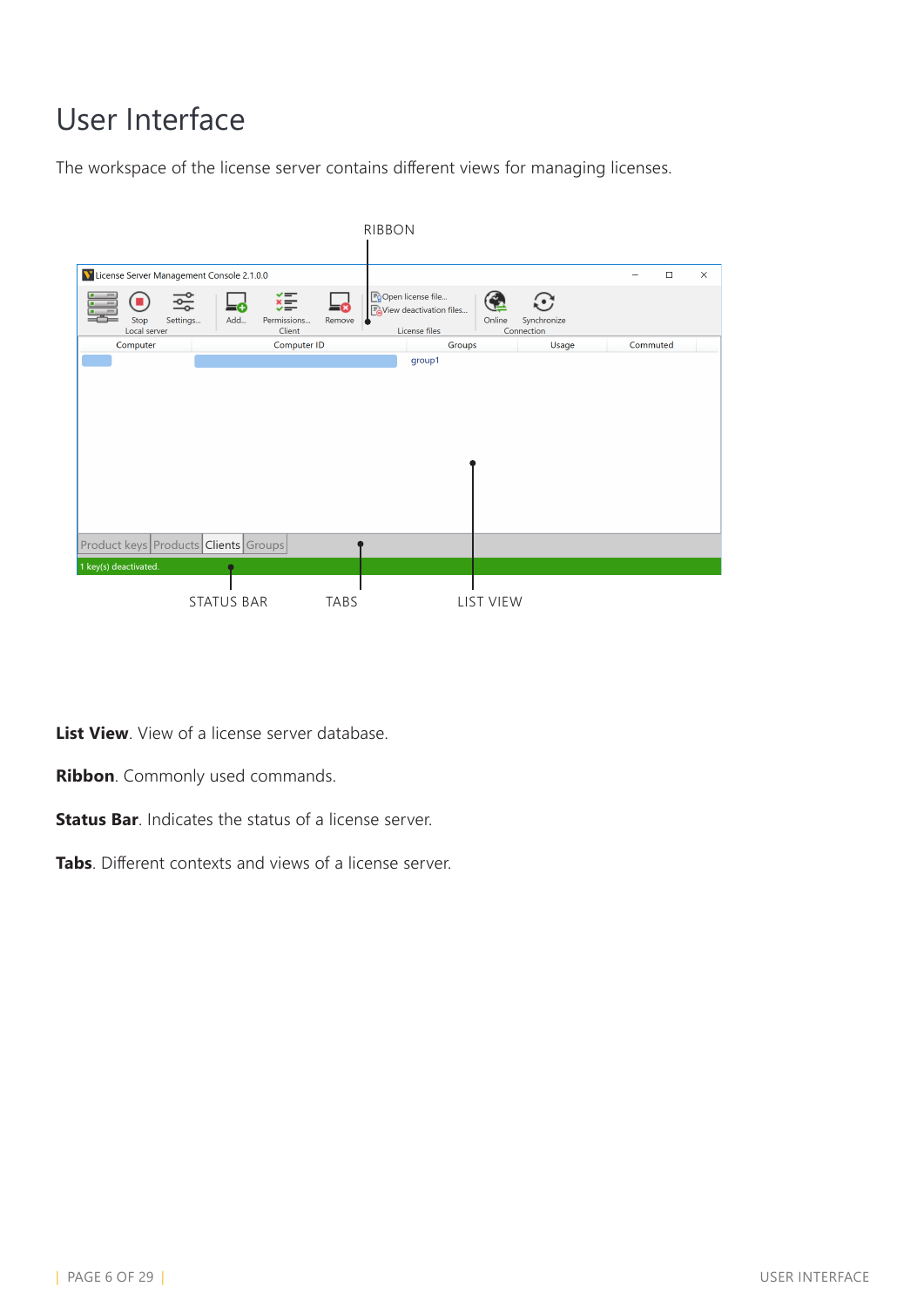# <span id="page-5-0"></span>User Interface

The workspace of the license server contains different views for managing licenses.



**List View**. View of a license server database.

**Ribbon**. Commonly used commands.

**Status Bar.** Indicates the status of a license server.

**Tabs**. Different contexts and views of a license server.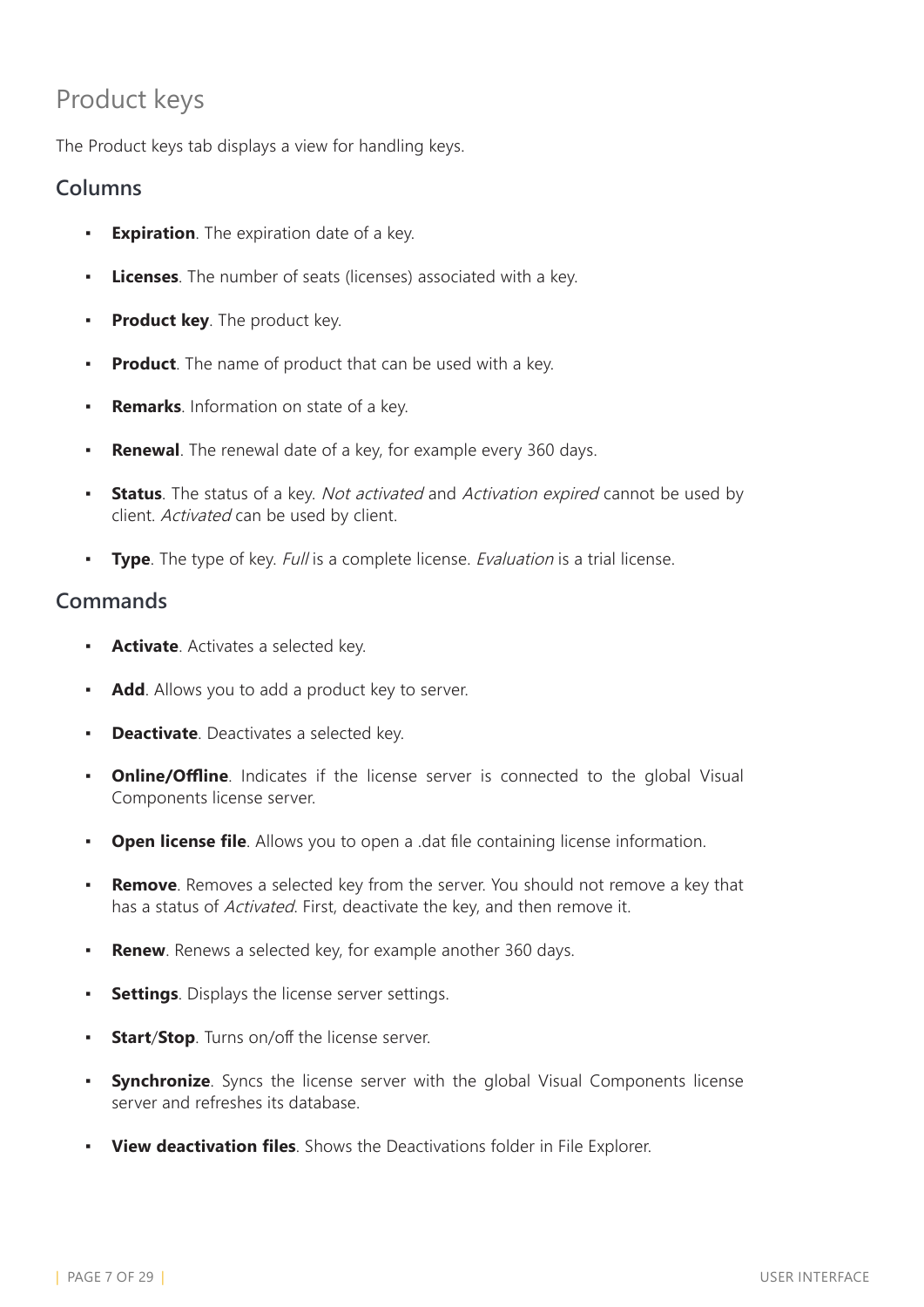### Product keys

The Product keys tab displays a view for handling keys.

#### **Columns**

- **Expiration**. The expiration date of a key.
- **Licenses**. The number of seats (licenses) associated with a key.
- **Product key**. The product key.
- **Product**. The name of product that can be used with a key.
- **Remarks**. Information on state of a key.
- **Renewal**. The renewal date of a key, for example every 360 days.
- **Status**. The status of a key. Not activated and Activation expired cannot be used by client. Activated can be used by client.
- **Type**. The type of key. Full is a complete license. Evaluation is a trial license.

- **Activate**. Activates a selected key.
- Add. Allows you to add a product key to server.
- **Deactivate**. Deactivates a selected key.
- **Online/Offline**. Indicates if the license server is connected to the global Visual Components license server.
- **Open license file**. Allows you to open a .dat file containing license information.
- **Remove**. Removes a selected key from the server. You should not remove a key that has a status of Activated. First, deactivate the key, and then remove it.
- **Renew**. Renews a selected key, for example another 360 days.
- **Settings**. Displays the license server settings.
- **Start/Stop**. Turns on/off the license server.
- **Synchronize**. Syncs the license server with the global Visual Components license server and refreshes its database.
- **View deactivation files**. Shows the Deactivations folder in File Explorer.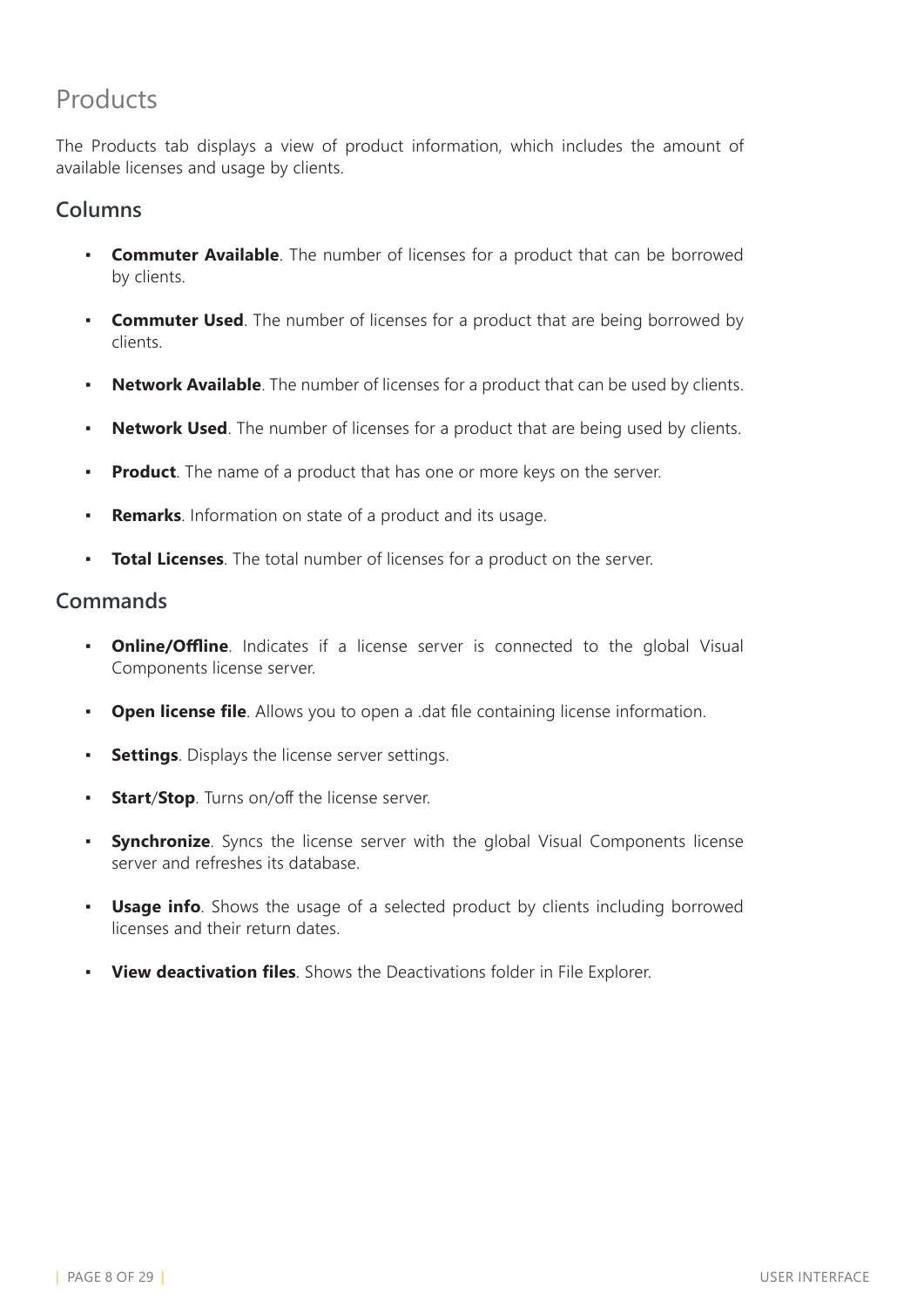### Products

The Products tab displays a view of product information, which includes the amount of available licenses and usage by clients.

#### **Columns**

- **Commuter Available**. The number of licenses for a product that can be borrowed by clients.
- **Commuter Used**. The number of licenses for a product that are being borrowed by clients.
- **Network Available**. The number of licenses for a product that can be used by clients.
- **Network Used**. The number of licenses for a product that are being used by clients.
- **Product**. The name of a product that has one or more keys on the server.
- **Remarks**. Information on state of a product and its usage.
- **Total Licenses**. The total number of licenses for a product on the server.

- **Online/Offline**. Indicates if a license server is connected to the global Visual Components license server.
- **Open license file**. Allows you to open a .dat file containing license information.
- **Settings**. Displays the license server settings.
- **Start/Stop**. Turns on/off the license server.
- **Synchronize**. Syncs the license server with the global Visual Components license server and refreshes its database.
- **· Usage info**. Shows the usage of a selected product by clients including borrowed licenses and their return dates.
- **View deactivation files**. Shows the Deactivations folder in File Explorer.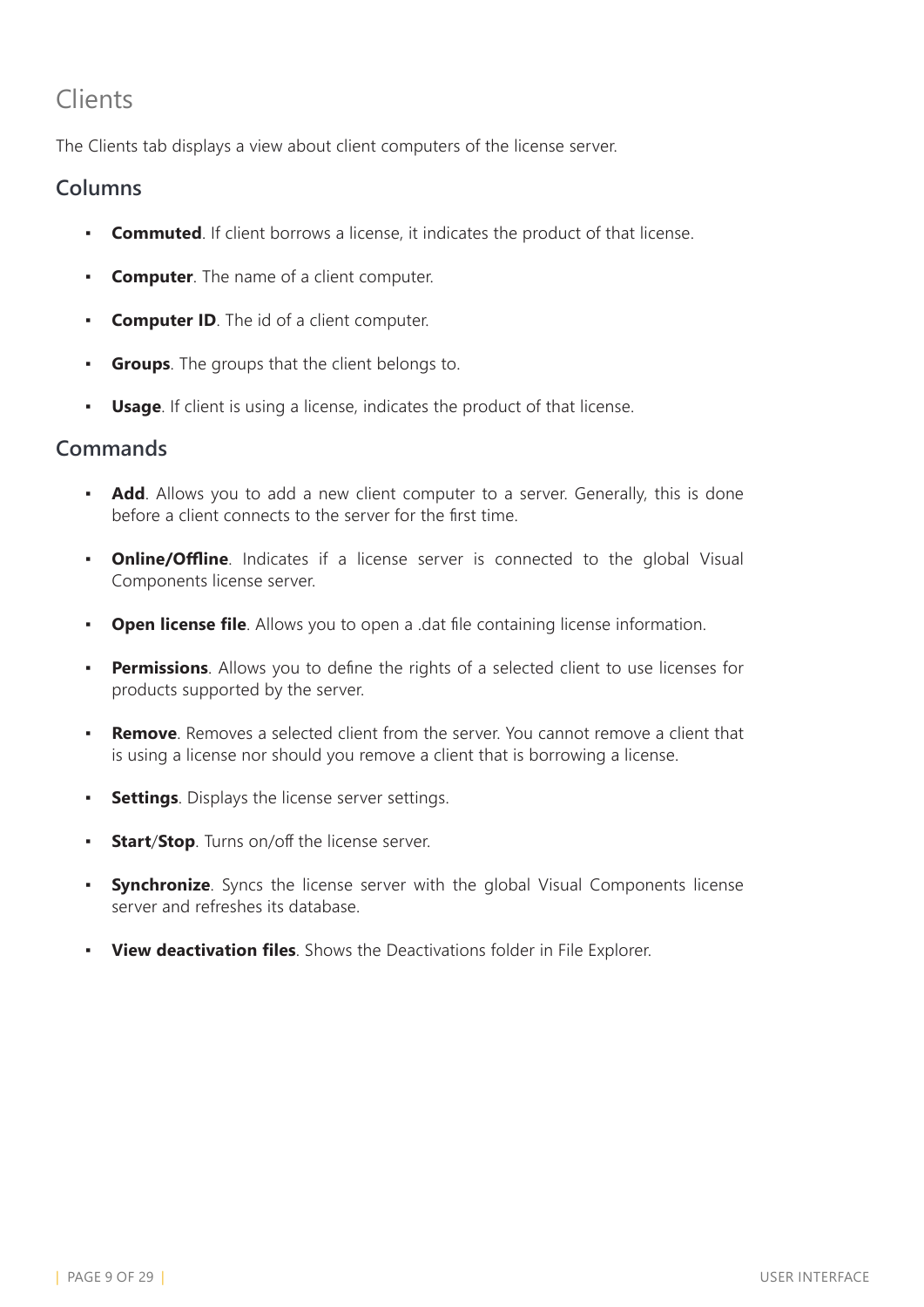### Clients

The Clients tab displays a view about client computers of the license server.

#### **Columns**

- **Commuted**. If client borrows a license, it indicates the product of that license.
- **Computer**. The name of a client computer.
- **Computer ID**. The id of a client computer.
- **Groups**. The groups that the client belongs to.
- **Usage**. If client is using a license, indicates the product of that license.

- **Add**. Allows you to add a new client computer to a server. Generally, this is done before a client connects to the server for the first time.
- **Online/Offline**. Indicates if a license server is connected to the global Visual Components license server.
- **Open license file**. Allows you to open a .dat file containing license information.
- **Permissions**. Allows you to define the rights of a selected client to use licenses for products supported by the server.
- **Remove**. Removes a selected client from the server. You cannot remove a client that is using a license nor should you remove a client that is borrowing a license.
- **Settings**. Displays the license server settings.
- **Start/Stop**. Turns on/off the license server.
- **Synchronize**. Syncs the license server with the global Visual Components license server and refreshes its database.
- **View deactivation files**. Shows the Deactivations folder in File Explorer.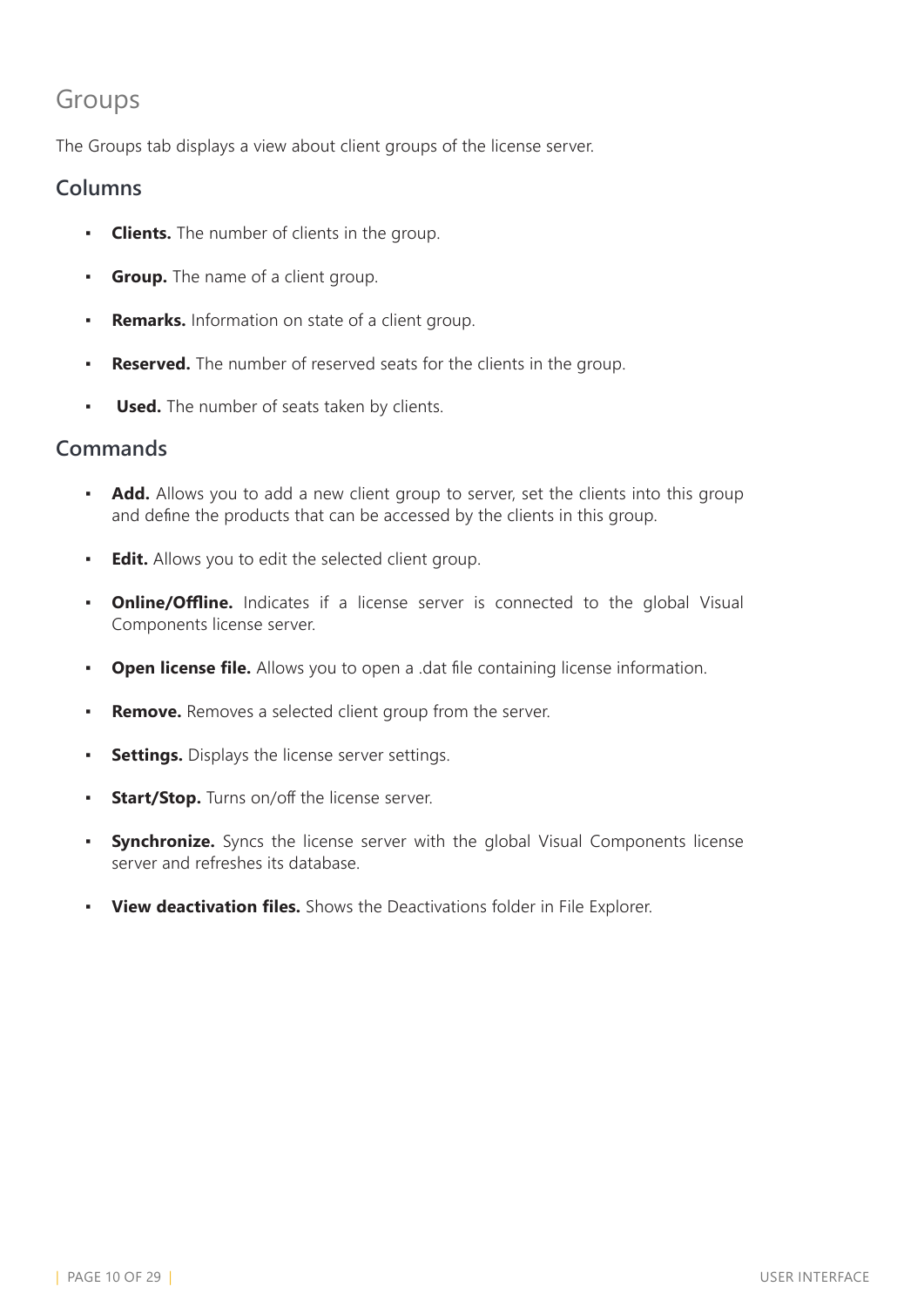### Groups

The Groups tab displays a view about client groups of the license server.

#### **Columns**

- **Clients.** The number of clients in the group.
- **Group.** The name of a client group.
- **Remarks.** Information on state of a client group.
- **Reserved.** The number of reserved seats for the clients in the group.
- **Used.** The number of seats taken by clients.

- **Add.** Allows you to add a new client group to server, set the clients into this group and define the products that can be accessed by the clients in this group.
- **Edit.** Allows you to edit the selected client group.
- **Online/Offline.** Indicates if a license server is connected to the global Visual Components license server.
- **Open license file.** Allows you to open a .dat file containing license information.
- **Remove.** Removes a selected client group from the server.
- **Settings.** Displays the license server settings.
- **Start/Stop.** Turns on/off the license server.
- **Synchronize.** Syncs the license server with the global Visual Components license server and refreshes its database.
- **View deactivation files.** Shows the Deactivations folder in File Explorer.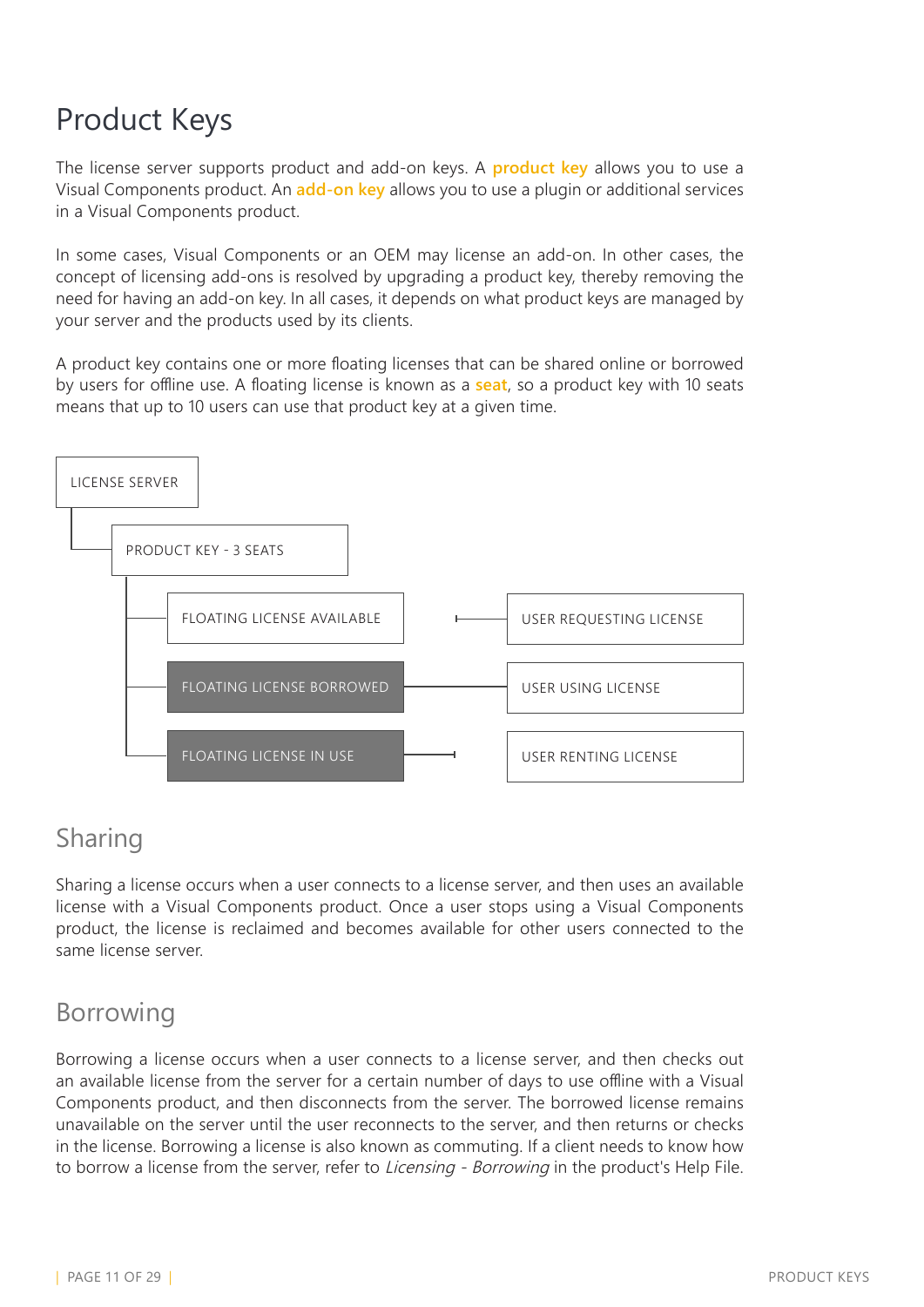# <span id="page-10-0"></span>Product Keys

The license server supports product and add-on keys. A **product key** allows you to use a Visual Components product. An **add-on key** allows you to use a plugin or additional services in a Visual Components product.

In some cases, Visual Components or an OEM may license an add-on. In other cases, the concept of licensing add-ons is resolved by upgrading a product key, thereby removing the need for having an add-on key. In all cases, it depends on what product keys are managed by your server and the products used by its clients.

A product key contains one or more floating licenses that can be shared online or borrowed by users for offline use. A floating license is known as a **seat**, so a product key with 10 seats means that up to 10 users can use that product key at a given time.



### Sharing

Sharing a license occurs when a user connects to a license server, and then uses an available license with a Visual Components product. Once a user stops using a Visual Components product, the license is reclaimed and becomes available for other users connected to the same license server.

### Borrowing

Borrowing a license occurs when a user connects to a license server, and then checks out an available license from the server for a certain number of days to use offline with a Visual Components product, and then disconnects from the server. The borrowed license remains unavailable on the server until the user reconnects to the server, and then returns or checks in the license. Borrowing a license is also known as commuting. If a client needs to know how to borrow a license from the server, refer to Licensing - Borrowing in the product's Help File.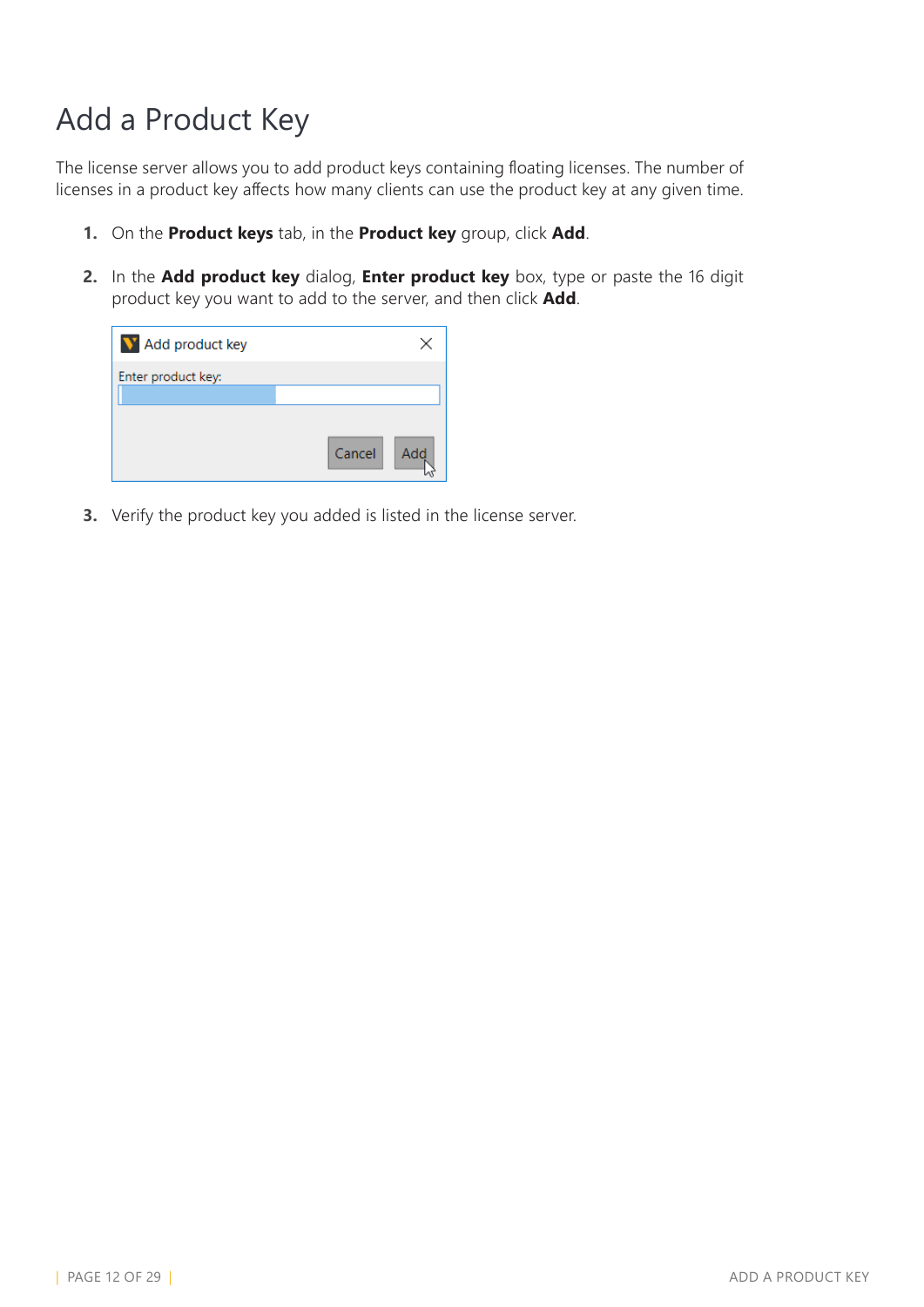# <span id="page-11-0"></span>Add a Product Key

The license server allows you to add product keys containing floating licenses. The number of licenses in a product key affects how many clients can use the product key at any given time.

- **1.** On the **Product keys** tab, in the **Product key** group, click **Add**.
- **2.** In the **Add product key** dialog, **Enter product key** box, type or paste the 16 digit product key you want to add to the server, and then click **Add**.



**3.** Verify the product key you added is listed in the license server.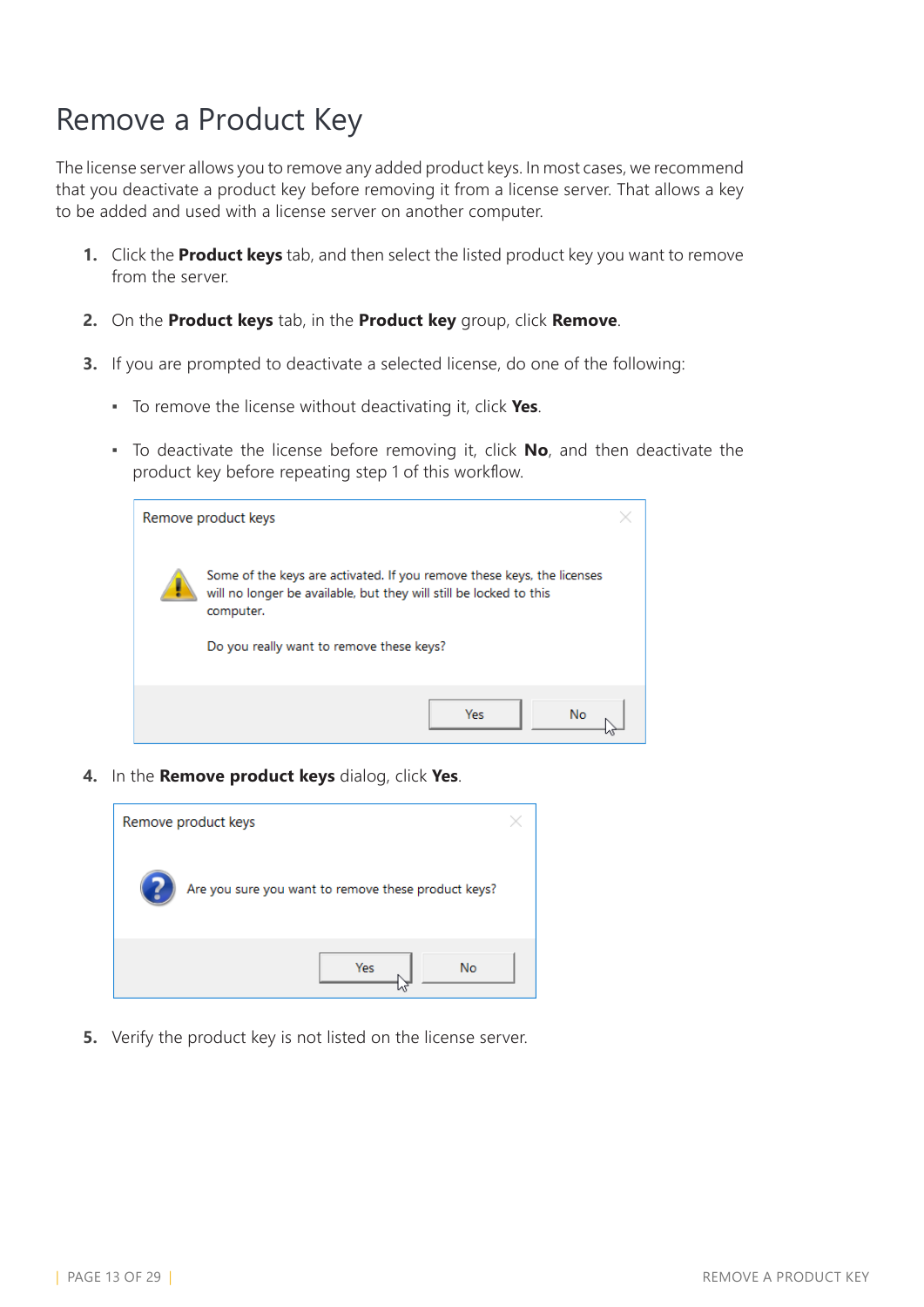# <span id="page-12-0"></span>Remove a Product Key

The license server allows you to remove any added product keys. In most cases, we recommend that you deactivate a product key before removing it from a license server. That allows a key to be added and used with a license server on another computer.

- **1.** Click the **Product keys** tab, and then select the listed product key you want to remove from the server.
- **2.** On the **Product keys** tab, in the **Product key** group, click **Remove**.
- **3.** If you are prompted to deactivate a selected license, do one of the following:
	- To remove the license without deactivating it, click **Yes**.
	- To deactivate the license before removing it, click **No**, and then deactivate the product key before repeating step 1 of this workflow.

| Remove product keys                                                                                                                                       |  |
|-----------------------------------------------------------------------------------------------------------------------------------------------------------|--|
| Some of the keys are activated. If you remove these keys, the licenses<br>will no longer be available, but they will still be locked to this<br>computer. |  |
| Do you really want to remove these keys?                                                                                                                  |  |
| Yes<br>No                                                                                                                                                 |  |

**4.** In the **Remove product keys** dialog, click **Yes**.



**5.** Verify the product key is not listed on the license server.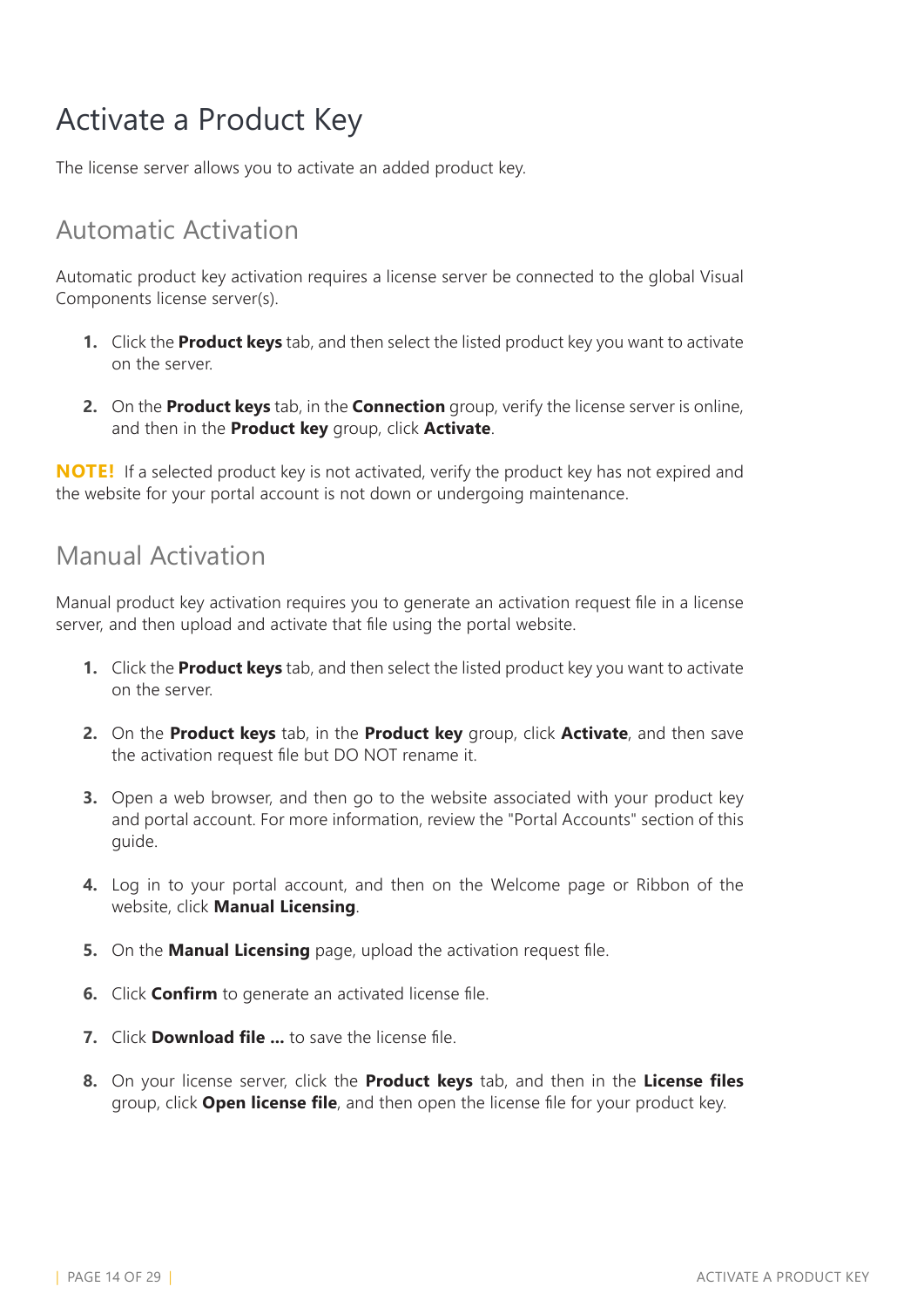# <span id="page-13-0"></span>Activate a Product Key

The license server allows you to activate an added product key.

### Automatic Activation

Automatic product key activation requires a license server be connected to the global Visual Components license server(s).

- **1.** Click the **Product keys** tab, and then select the listed product key you want to activate on the server.
- **2.** On the **Product keys** tab, in the **Connection** group, verify the license server is online, and then in the **Product key** group, click **Activate**.

**NOTE!** If a selected product key is not activated, verify the product key has not expired and the website for your portal account is not down or undergoing maintenance.

### Manual Activation

Manual product key activation requires you to generate an activation request file in a license server, and then upload and activate that file using the portal website.

- **1.** Click the **Product keys** tab, and then select the listed product key you want to activate on the server.
- **2.** On the **Product keys** tab, in the **Product key** group, click **Activate**, and then save the activation request file but DO NOT rename it.
- **3.** Open a web browser, and then go to the website associated with your product key and portal account. For more information, review the "Portal Accounts" section of this guide.
- **4.** Log in to your portal account, and then on the Welcome page or Ribbon of the website, click **Manual Licensing**.
- **5.** On the **Manual Licensing** page, upload the activation request file.
- **6.** Click **Confirm** to generate an activated license file.
- **7.** Click **Download file ...** to save the license file.
- **8.** On your license server, click the **Product keys** tab, and then in the **License files** group, click **Open license file**, and then open the license file for your product key.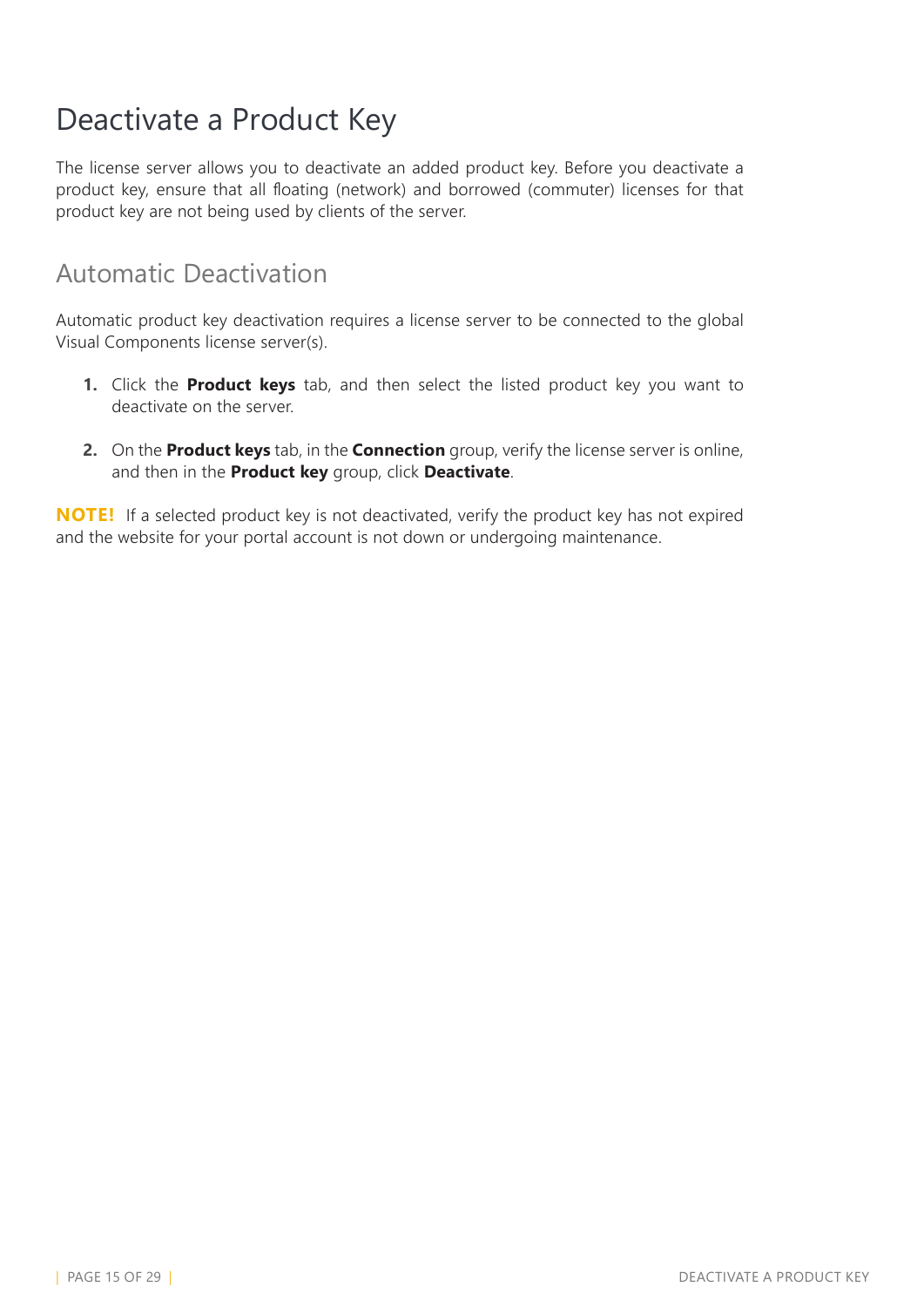## <span id="page-14-0"></span>Deactivate a Product Key

The license server allows you to deactivate an added product key. Before you deactivate a product key, ensure that all floating (network) and borrowed (commuter) licenses for that product key are not being used by clients of the server.

#### Automatic Deactivation

Automatic product key deactivation requires a license server to be connected to the global Visual Components license server(s).

- **1.** Click the **Product keys** tab, and then select the listed product key you want to deactivate on the server.
- **2.** On the **Product keys** tab, in the **Connection** group, verify the license server is online, and then in the **Product key** group, click **Deactivate**.

**NOTE!** If a selected product key is not deactivated, verify the product key has not expired and the website for your portal account is not down or undergoing maintenance.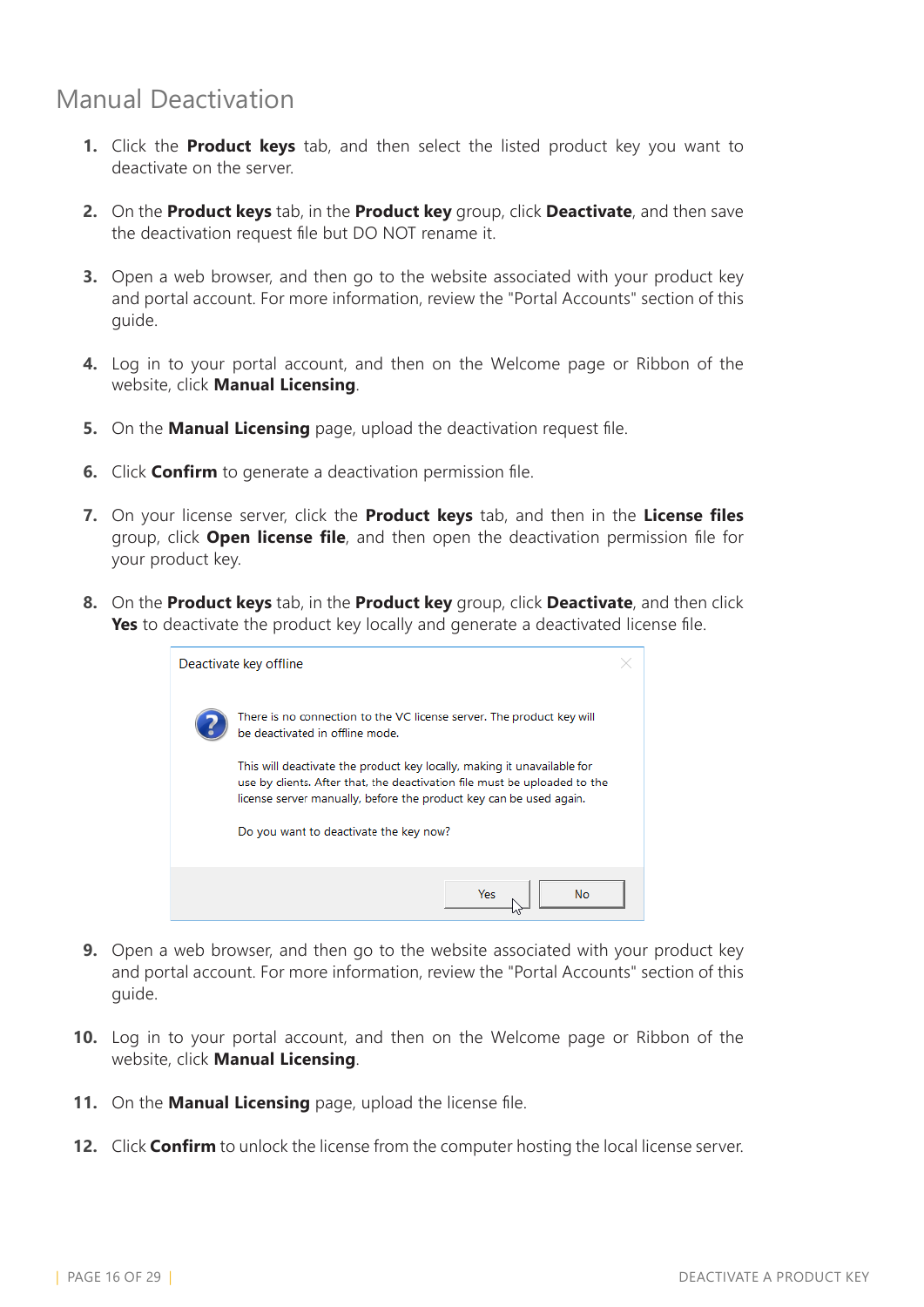### Manual Deactivation

- **1.** Click the **Product keys** tab, and then select the listed product key you want to deactivate on the server.
- **2.** On the **Product keys** tab, in the **Product key** group, click **Deactivate**, and then save the deactivation request file but DO NOT rename it.
- **3.** Open a web browser, and then go to the website associated with your product key and portal account. For more information, review the "Portal Accounts" section of this guide.
- **4.** Log in to your portal account, and then on the Welcome page or Ribbon of the website, click **Manual Licensing**.
- **5.** On the **Manual Licensing** page, upload the deactivation request file.
- **6.** Click **Confirm** to generate a deactivation permission file.
- **7.** On your license server, click the **Product keys** tab, and then in the **License files** group, click **Open license file**, and then open the deactivation permission file for your product key.
- **8.** On the **Product keys** tab, in the **Product key** group, click **Deactivate**, and then click **Yes** to deactivate the product key locally and generate a deactivated license file.

| Deactivate key offline                                                                                                                                                              |  |
|-------------------------------------------------------------------------------------------------------------------------------------------------------------------------------------|--|
| There is no connection to the VC license server. The product key will<br>be deactivated in offline mode.<br>This will deactivate the product key locally, making it unavailable for |  |
| use by clients. After that, the deactivation file must be uploaded to the<br>license server manually, before the product key can be used again.                                     |  |
| Do you want to deactivate the key now?                                                                                                                                              |  |
| Yes<br>No.                                                                                                                                                                          |  |

- **9.** Open a web browser, and then go to the website associated with your product key and portal account. For more information, review the "Portal Accounts" section of this guide.
- **10.** Log in to your portal account, and then on the Welcome page or Ribbon of the website, click **Manual Licensing**.
- **11.** On the **Manual Licensing** page, upload the license file.
- **12.** Click **Confirm** to unlock the license from the computer hosting the local license server.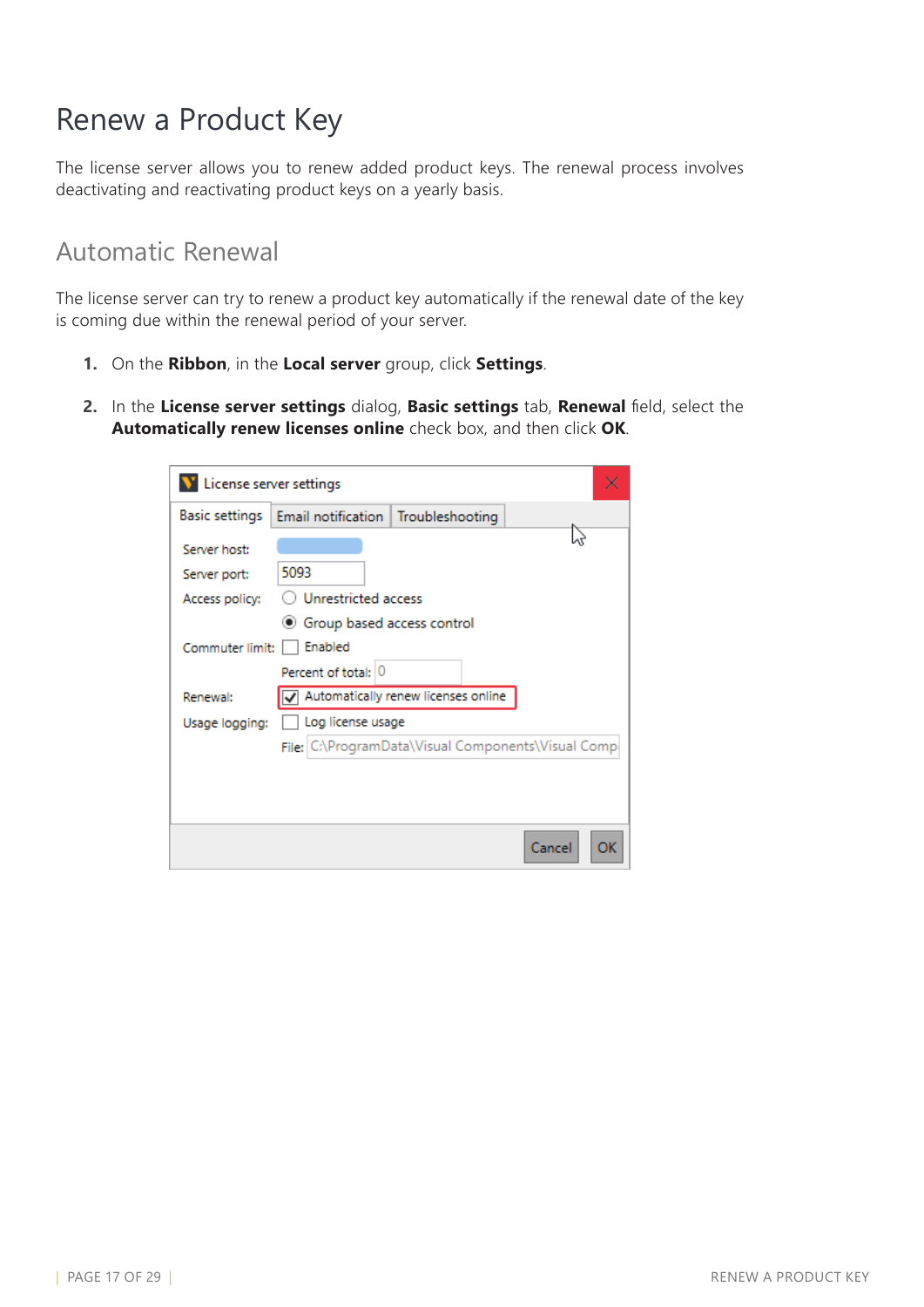### <span id="page-16-0"></span>Renew a Product Key

The license server allows you to renew added product keys. The renewal process involves deactivating and reactivating product keys on a yearly basis.

#### Automatic Renewal

The license server can try to renew a product key automatically if the renewal date of the key is coming due within the renewal period of your server.

- **1.** On the **Ribbon**, in the **Local server** group, click **Settings**.
- **2.** In the **License server settings** dialog, **Basic settings** tab, **Renewal** field, select the **Automatically renew licenses online** check box, and then click **OK**.

| License server settings |                                      |                                                    |        |    |
|-------------------------|--------------------------------------|----------------------------------------------------|--------|----|
| Basic settings          | Email notification   Troubleshooting |                                                    |        |    |
| Server host:            |                                      |                                                    |        |    |
| Server port:            | 5093                                 |                                                    |        |    |
| Access policy:          | Unrestricted access                  |                                                    |        |    |
|                         | ● Group based access control         |                                                    |        |    |
| Commuter limit:         | Enabled                              |                                                    |        |    |
|                         | Percent of total: 0                  |                                                    |        |    |
| Renewal:                |                                      | Automatically renew licenses online                |        |    |
| Usage logging:          | Log license usage                    |                                                    |        |    |
|                         |                                      | File: C:\ProgramData\Visual Components\Visual Comp |        |    |
|                         |                                      |                                                    |        |    |
|                         |                                      |                                                    |        |    |
|                         |                                      |                                                    |        |    |
|                         |                                      |                                                    | Cancel | ОК |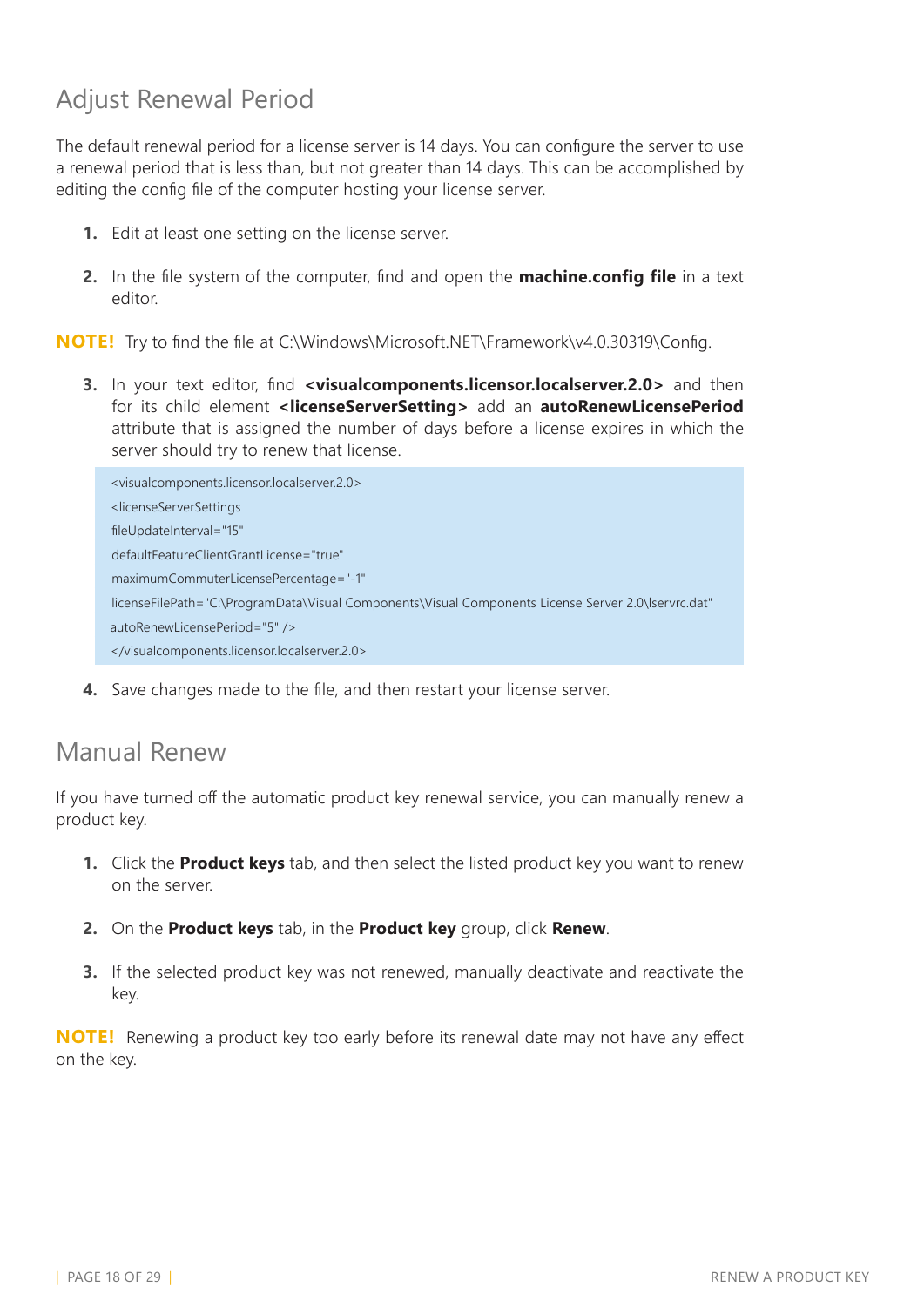### Adjust Renewal Period

The default renewal period for a license server is 14 days. You can configure the server to use a renewal period that is less than, but not greater than 14 days. This can be accomplished by editing the config file of the computer hosting your license server.

- **1.** Edit at least one setting on the license server.
- **2.** In the file system of the computer, find and open the **machine.config file** in a text editor.

**NOTE!** Try to find the file at C:\Windows\Microsoft.NET\Framework\v4.0.30319\Config.

**3.** In your text editor, find **<visualcomponents.licensor.localserver.2.0>** and then for its child element **<licenseServerSetting>** add an **autoRenewLicensePeriod** attribute that is assigned the number of days before a license expires in which the server should try to renew that license.

```
<visualcomponents.licensor.localserver.2.0>
<licenseServerSettings
fileUpdateInterval="15"
defaultFeatureClientGrantLicense="true"
maximumCommuterLicensePercentage="-1"
licenseFilePath="C:\ProgramData\Visual Components\Visual Components License Server 2.0\lservrc.dat"
autoRenewLicensePeriod="5" />
</visualcomponents.licensor.localserver.2.0>
```
**4.** Save changes made to the file, and then restart your license server.

#### Manual Renew

If you have turned off the automatic product key renewal service, you can manually renew a product key.

- **1.** Click the **Product keys** tab, and then select the listed product key you want to renew on the server.
- **2.** On the **Product keys** tab, in the **Product key** group, click **Renew**.
- **3.** If the selected product key was not renewed, manually deactivate and reactivate the key.

**NOTE!** Renewing a product key too early before its renewal date may not have any effect on the key.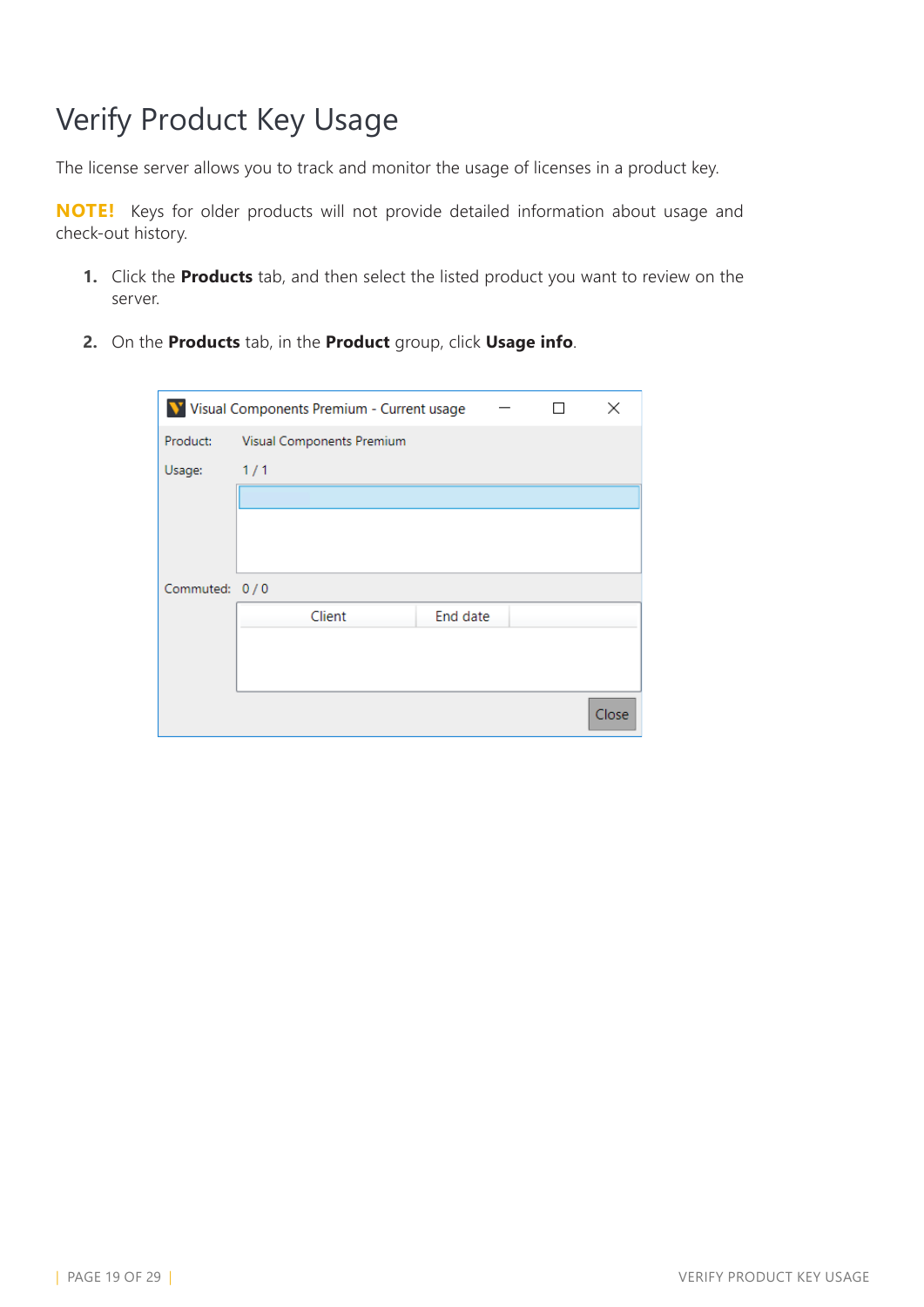# <span id="page-18-0"></span>Verify Product Key Usage

The license server allows you to track and monitor the usage of licenses in a product key.

**NOTE!** Keys for older products will not provide detailed information about usage and check-out history.

- **1.** Click the **Products** tab, and then select the listed product you want to review on the server.
- **2.** On the **Products** tab, in the **Product** group, click **Usage info**.

|               | V Visual Components Premium - Current usage |  | ×     |
|---------------|---------------------------------------------|--|-------|
| Product:      | Visual Components Premium                   |  |       |
| Usage:        | 1/1                                         |  |       |
|               |                                             |  |       |
|               |                                             |  |       |
|               |                                             |  |       |
| Commuted: 0/0 |                                             |  |       |
|               | Client<br>End date                          |  |       |
|               |                                             |  |       |
|               |                                             |  |       |
|               |                                             |  | Close |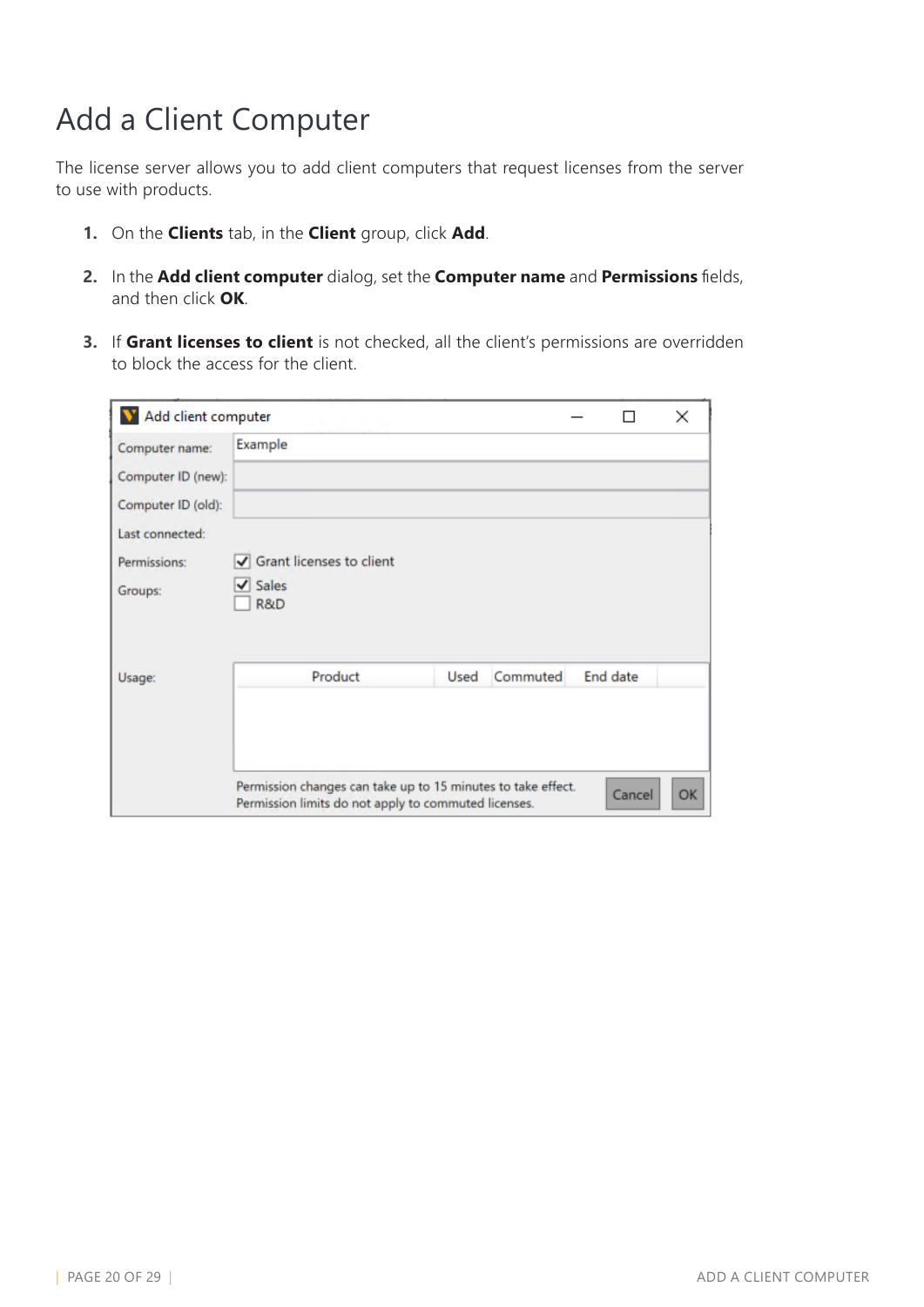# <span id="page-19-0"></span>Add a Client Computer

The license server allows you to add client computers that request licenses from the server to use with products.

- **1.** On the **Clients** tab, in the **Client** group, click **Add**.
- **2.** In the **Add client computer** dialog, set the **Computer name** and **Permissions** fields, and then click **OK**.
- **3.** If **Grant licenses to client** is not checked, all the client's permissions are overridden to block the access for the client.

| V Add client computer |                                                              |      |          |          | ×  |
|-----------------------|--------------------------------------------------------------|------|----------|----------|----|
| Computer name:        | Example                                                      |      |          |          |    |
| Computer ID (new):    |                                                              |      |          |          |    |
| Computer ID (old):    |                                                              |      |          |          |    |
| Last connected:       |                                                              |      |          |          |    |
| Permissions:          | Grant licenses to client                                     |      |          |          |    |
| Groups:               | $\sqrt{}$ Sales<br>R&D                                       |      |          |          |    |
|                       |                                                              |      |          |          |    |
|                       |                                                              |      |          |          |    |
| Usage:                | Product                                                      | Used | Commuted | End date |    |
|                       |                                                              |      |          |          |    |
|                       |                                                              |      |          |          |    |
|                       | Permission changes can take up to 15 minutes to take effect. |      |          |          |    |
|                       | Permission limits do not apply to commuted licenses.         |      |          | Cancel   | OK |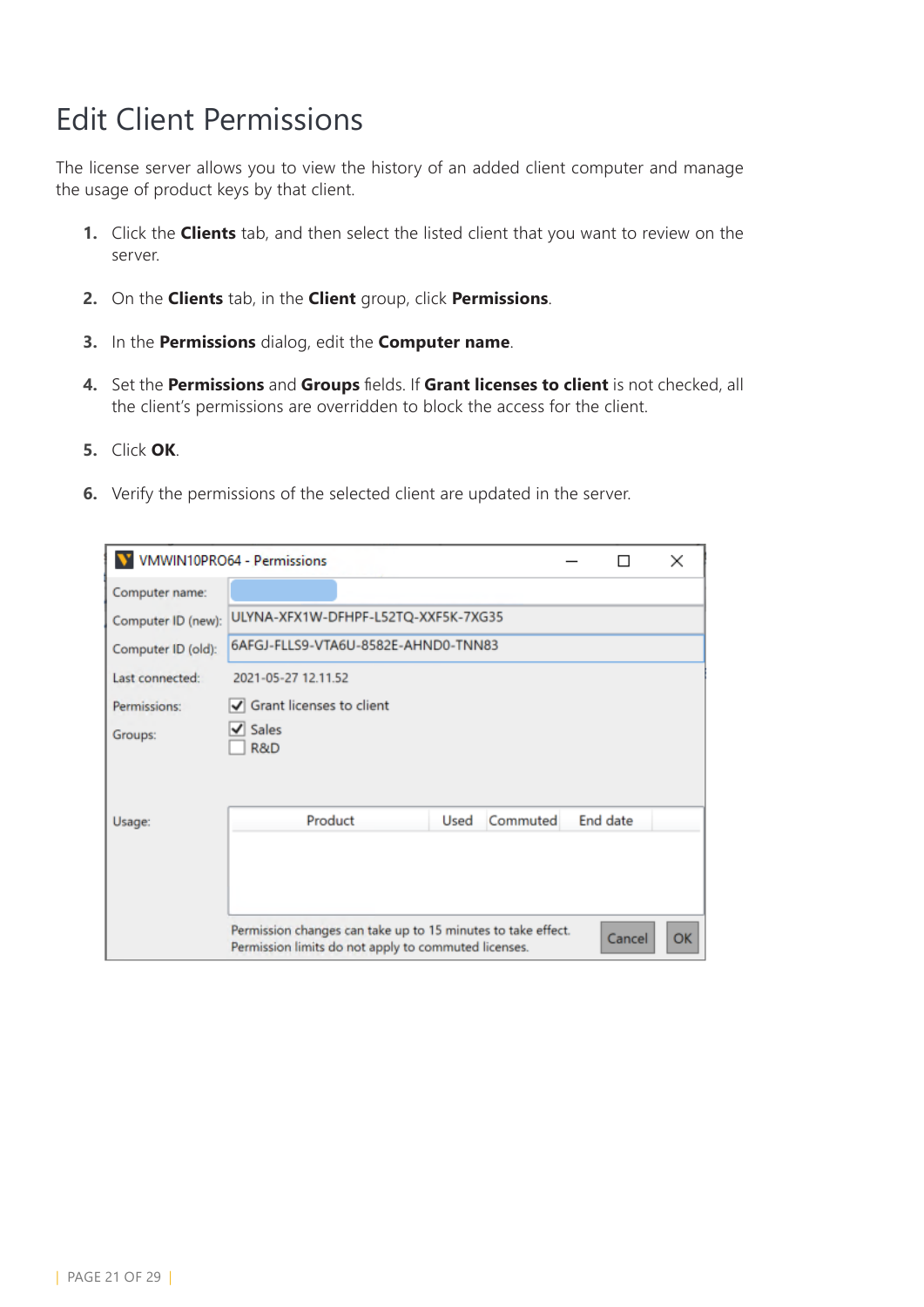## <span id="page-20-0"></span>Edit Client Permissions

The license server allows you to view the history of an added client computer and manage the usage of product keys by that client.

- **1.** Click the **Clients** tab, and then select the listed client that you want to review on the server.
- **2.** On the **Clients** tab, in the **Client** group, click **Permissions**.
- **3.** In the **Permissions** dialog, edit the **Computer name**.
- **4.** Set the **Permissions** and **Groups** fields. If **Grant licenses to client** is not checked, all the client's permissions are overridden to block the access for the client.
- **5.** Click **OK**.
- **6.** Verify the permissions of the selected client are updated in the server.

|                    | <b>VMWIN10PRO64 - Permissions</b>                                                                                    |          | ×  |
|--------------------|----------------------------------------------------------------------------------------------------------------------|----------|----|
| Computer name:     |                                                                                                                      |          |    |
| Computer ID (new): | ULYNA-XFX1W-DFHPF-L52TQ-XXF5K-7XG35                                                                                  |          |    |
| Computer ID (old): | 6AFGJ-FLLS9-VTA6U-8582E-AHND0-TNN83                                                                                  |          |    |
| Last connected:    | 2021-05-27 12.11.52                                                                                                  |          |    |
| Permissions:       | √ Grant licenses to client                                                                                           |          |    |
| Groups:            | $\vee$ Sales<br>R&D                                                                                                  |          |    |
|                    |                                                                                                                      |          |    |
| Usage:             | Product<br>Commuted<br>Used                                                                                          | End date |    |
|                    |                                                                                                                      |          |    |
|                    |                                                                                                                      |          |    |
|                    | Permission changes can take up to 15 minutes to take effect.<br>Permission limits do not apply to commuted licenses. | Cancel   | OK |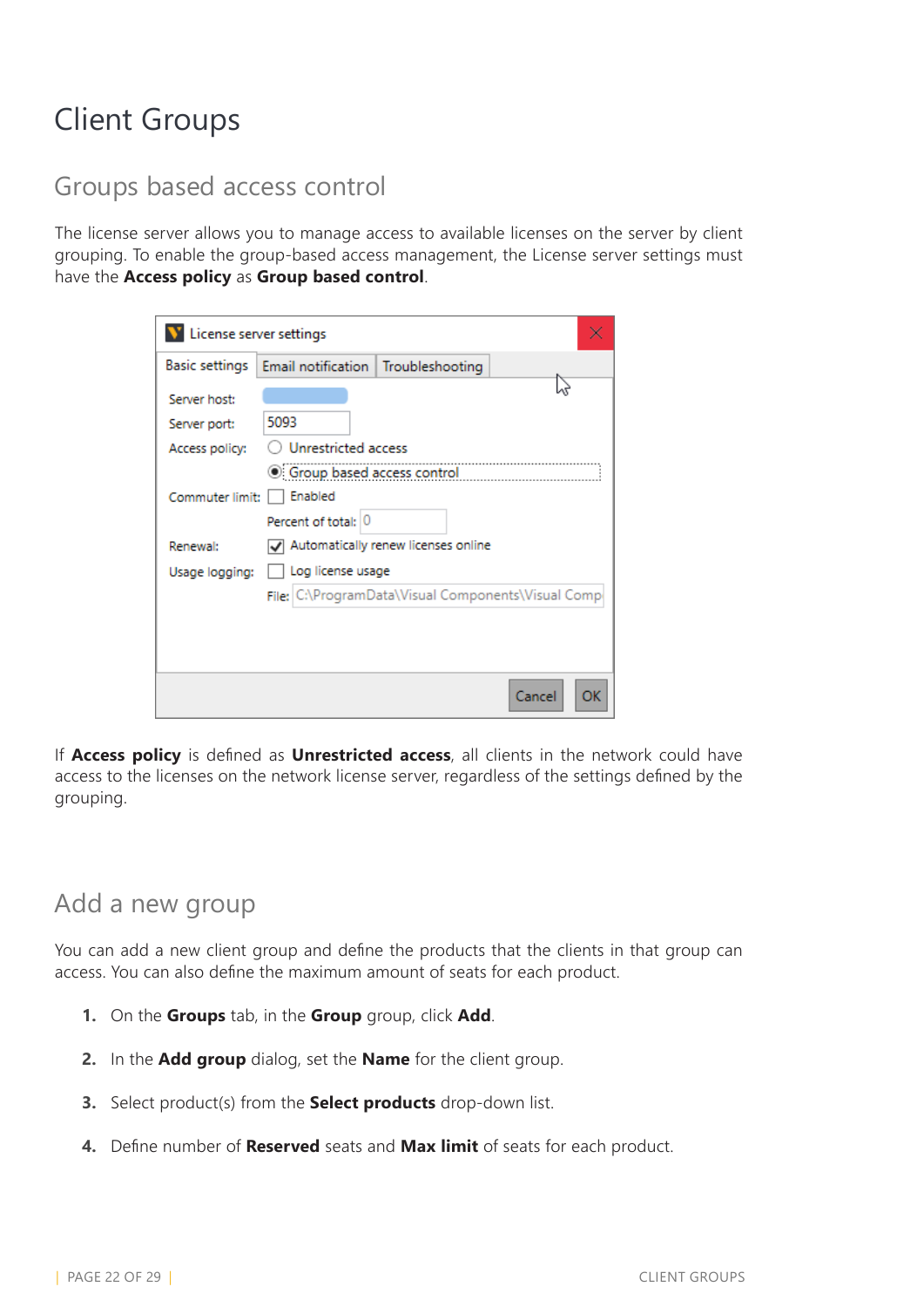# <span id="page-21-0"></span>Client Groups

#### Groups based access control

The license server allows you to manage access to available licenses on the server by client grouping. To enable the group-based access management, the License server settings must have the **Access policy** as **Group based control**.

| License server settings |                                                 |                                     |                                                    |
|-------------------------|-------------------------------------------------|-------------------------------------|----------------------------------------------------|
| Basic settings          | Email notification   Troubleshooting            |                                     |                                                    |
| Server host:            |                                                 |                                     |                                                    |
| Server port:            | 5093                                            |                                     |                                                    |
| Access policy:          | Unrestricted access                             |                                     |                                                    |
|                         | <b>Signal Second</b> Group based access control |                                     |                                                    |
| Commuter limit:         | Enabled                                         |                                     |                                                    |
|                         | Percent of total: 0                             |                                     |                                                    |
| Renewal:                |                                                 | Automatically renew licenses online |                                                    |
| Usage logging:          | Log license usage                               |                                     |                                                    |
|                         |                                                 |                                     | File; C:\ProgramData\Visual Components\Visual Comp |
|                         |                                                 |                                     |                                                    |
|                         |                                                 |                                     |                                                    |
|                         |                                                 |                                     |                                                    |
|                         |                                                 |                                     | Cancel<br>ок                                       |

If **Access policy** is defined as **Unrestricted access**, all clients in the network could have access to the licenses on the network license server, regardless of the settings defined by the grouping.

### Add a new group

You can add a new client group and define the products that the clients in that group can access. You can also define the maximum amount of seats for each product.

- **1.** On the **Groups** tab, in the **Group** group, click **Add**.
- **2.** In the **Add group** dialog, set the **Name** for the client group.
- **3.** Select product(s) from the **Select products** drop-down list.
- **4.** Define number of **Reserved** seats and **Max limit** of seats for each product.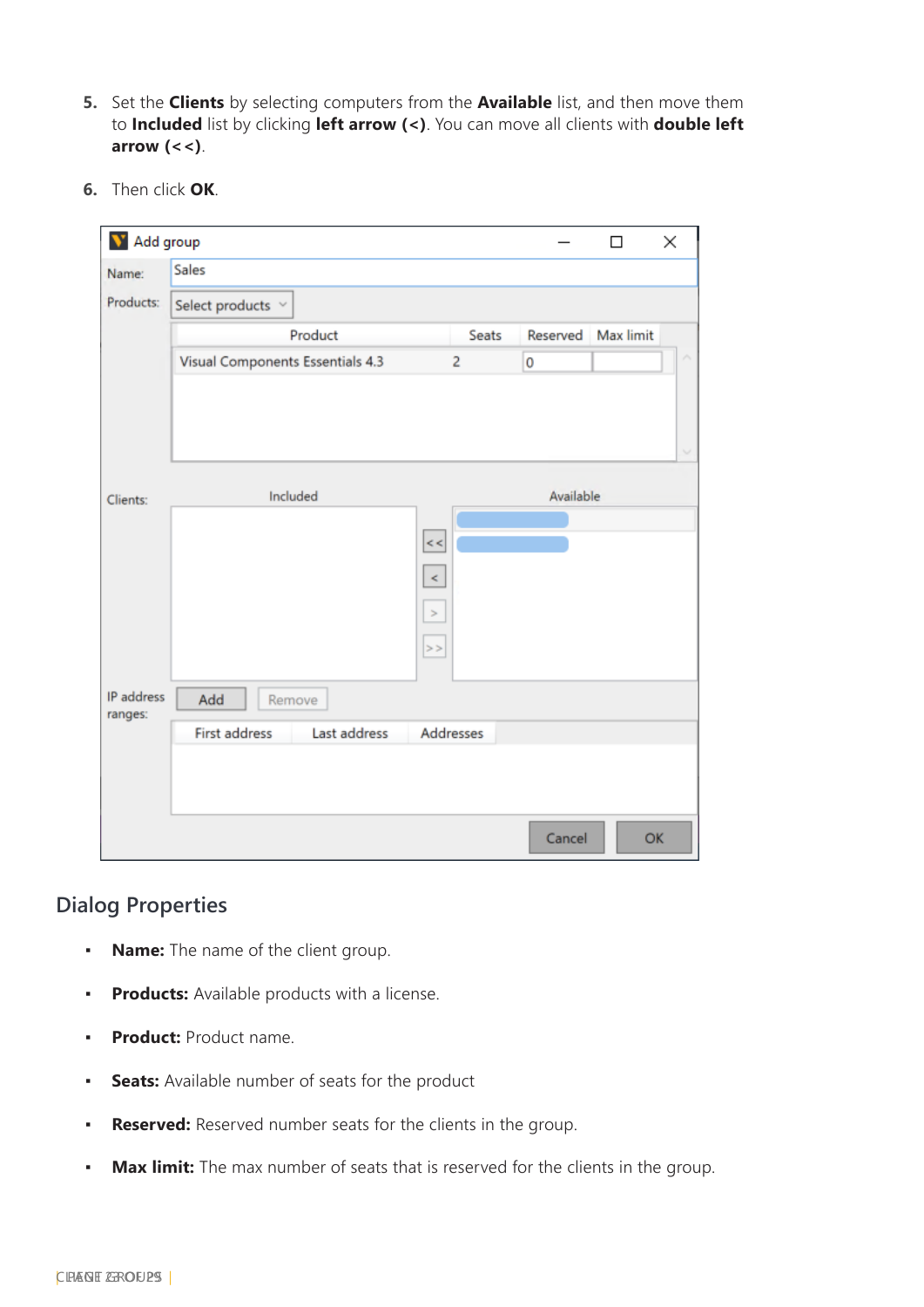- **5.** Set the **Clients** by selecting computers from the **Available** list, and then move them to **Included** list by clicking **left arrow (<)**. You can move all clients with **double left arrow (<<)**.
- **6.** Then click **OK**.

| M Add group           |                                  |           |           | $\Box$    | ×      |
|-----------------------|----------------------------------|-----------|-----------|-----------|--------|
| Name:                 | Sales                            |           |           |           |        |
| Products:             | Select products $\vee$           |           |           |           |        |
|                       | Product                          | Seats     | Reserved  | Max limit |        |
|                       | Visual Components Essentials 4.3 | 2         | 0         |           |        |
|                       |                                  |           |           |           |        |
|                       |                                  |           |           |           |        |
|                       |                                  |           |           |           | $\sim$ |
| Clients:              | Included                         |           | Available |           |        |
|                       |                                  |           |           |           |        |
|                       |                                  | $\,<$     |           |           |        |
|                       |                                  | $\,<$     |           |           |        |
|                       | $\, >$                           |           |           |           |        |
|                       | $\vert$ > >                      |           |           |           |        |
|                       |                                  |           |           |           |        |
| IP address<br>ranges: | Add<br>Remove                    |           |           |           |        |
|                       | First address<br>Last address    | Addresses |           |           |        |
|                       |                                  |           |           |           |        |
|                       |                                  |           |           |           |        |
|                       |                                  |           | Cancel    | OK        |        |

#### **Dialog Properties**

- **Name:** The name of the client group.
- **Products:** Available products with a license.
- **Product:** Product name.
- **Seats:** Available number of seats for the product
- **Reserved:** Reserved number seats for the clients in the group.
- **Max limit:** The max number of seats that is reserved for the clients in the group.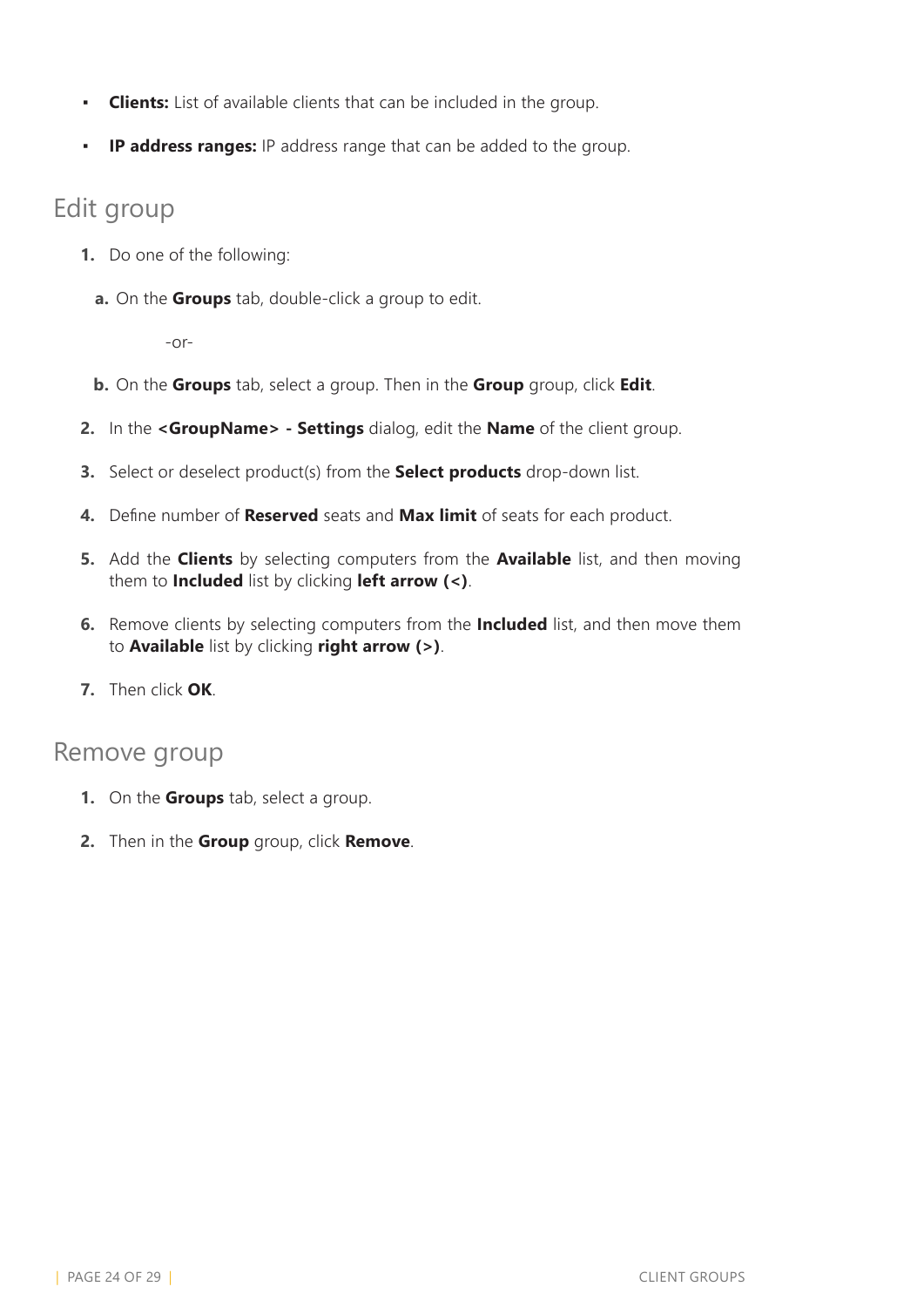- **Clients:** List of available clients that can be included in the group.
- **IP address ranges:** IP address range that can be added to the group.

### Edit group

- **1.** Do one of the following:
	- **a.** On the **Groups** tab, double-click a group to edit.

-or-

- **b.** On the **Groups** tab, select a group. Then in the **Group** group, click **Edit**.
- **2.** In the **<GroupName> Settings** dialog, edit the **Name** of the client group.
- **3.** Select or deselect product(s) from the **Select products** drop-down list.
- **4.** Define number of **Reserved** seats and **Max limit** of seats for each product.
- **5.** Add the **Clients** by selecting computers from the **Available** list, and then moving them to **Included** list by clicking **left arrow (<)**.
- **6.** Remove clients by selecting computers from the **Included** list, and then move them to **Available** list by clicking **right arrow (>)**.
- **7.** Then click **OK**.

#### Remove group

- **1.** On the **Groups** tab, select a group.
- **2.** Then in the **Group** group, click **Remove**.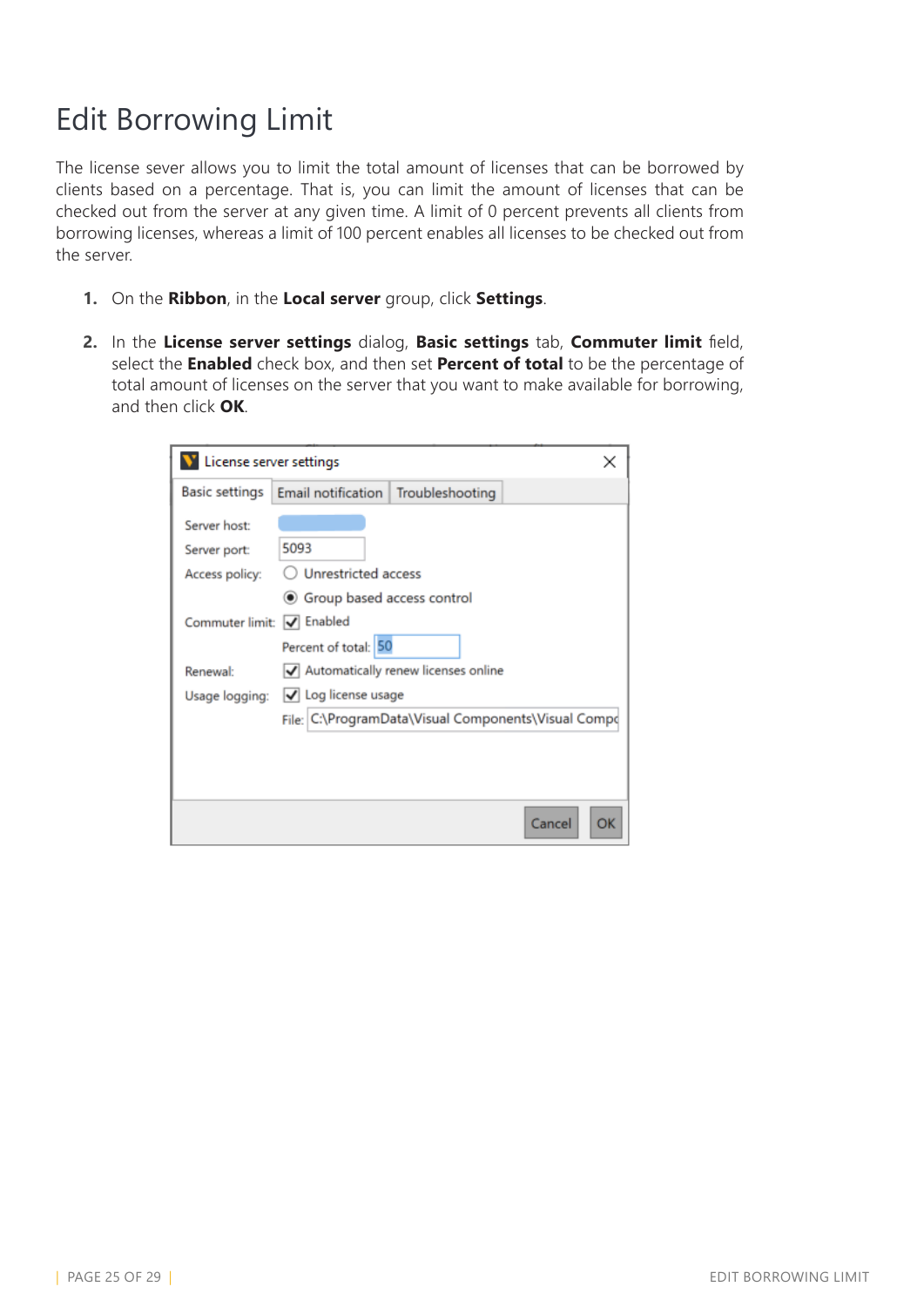# <span id="page-24-0"></span>Edit Borrowing Limit

The license sever allows you to limit the total amount of licenses that can be borrowed by clients based on a percentage. That is, you can limit the amount of licenses that can be checked out from the server at any given time. A limit of 0 percent prevents all clients from borrowing licenses, whereas a limit of 100 percent enables all licenses to be checked out from the server.

- **1.** On the **Ribbon**, in the **Local server** group, click **Settings**.
- **2.** In the **License server settings** dialog, **Basic settings** tab, **Commuter limit** field, select the **Enabled** check box, and then set **Percent of total** to be the percentage of total amount of licenses on the server that you want to make available for borrowing, and then click **OK**.

| License server settings                        |                                                      |                                                                                              |              |
|------------------------------------------------|------------------------------------------------------|----------------------------------------------------------------------------------------------|--------------|
| <b>Basic settings</b>                          | Email notification   Troubleshooting                 |                                                                                              |              |
| Server host:<br>Server port:<br>Access policy: | 5093<br>Unrestricted access                          |                                                                                              |              |
| Commuter limit: V Enabled                      | ◉ Group based access control<br>Percent of total: 50 |                                                                                              |              |
| Renewal:                                       | Usage logging: V Log license usage                   | √ Automatically renew licenses online<br>File: C:\ProgramData\Visual Components\Visual Compo |              |
|                                                |                                                      |                                                                                              | Cancel<br>OK |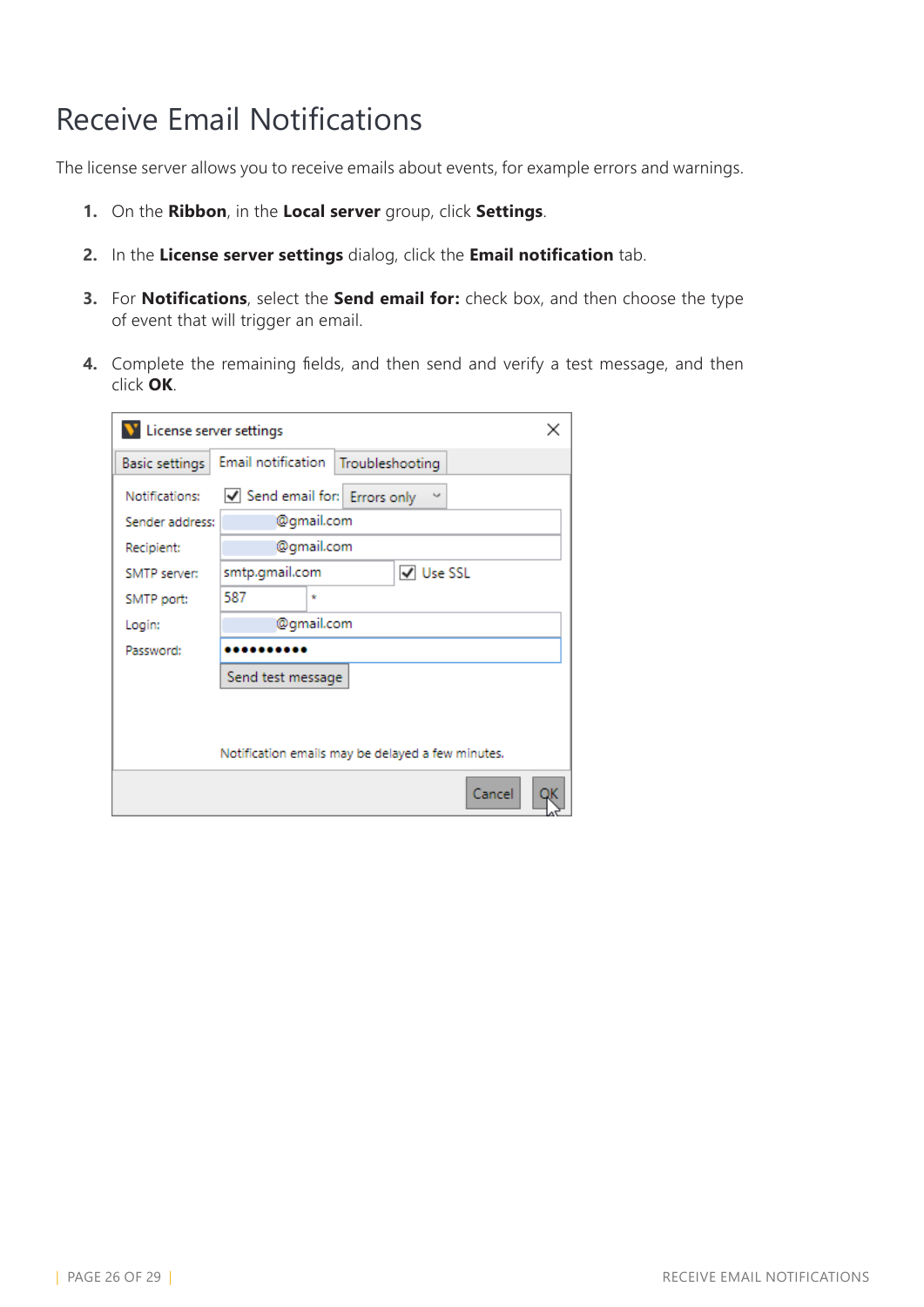# <span id="page-25-0"></span>Receive Email Notifications

The license server allows you to receive emails about events, for example errors and warnings.

- **1.** On the **Ribbon**, in the **Local server** group, click **Settings**.
- **2.** In the **License server settings** dialog, click the **Email notification** tab.
- **3.** For **Notifications**, select the **Send email for:** check box, and then choose the type of event that will trigger an email.
- **4.** Complete the remaining fields, and then send and verify a test message, and then click **OK**.

| V License server settings |                                                   |            |           |        | × |
|---------------------------|---------------------------------------------------|------------|-----------|--------|---|
| Basic settings            | Email notification   Troubleshooting              |            |           |        |   |
| Notifications:            | Send email for: Errors only                       |            | $\sim$    |        |   |
| Sender address:           |                                                   | @gmail.com |           |        |   |
| Recipient:                |                                                   | @gmail.com |           |        |   |
| SMTP server:              | smtp.gmail.com                                    |            | V Use SSL |        |   |
| SMTP port:                | 587                                               | ×.         |           |        |   |
| Login:                    |                                                   | @gmail.com |           |        |   |
| Password:                 |                                                   |            |           |        |   |
|                           | Send test message                                 |            |           |        |   |
|                           |                                                   |            |           |        |   |
|                           |                                                   |            |           |        |   |
|                           | Notification emails may be delayed a few minutes. |            |           |        |   |
|                           |                                                   |            |           | Cancel |   |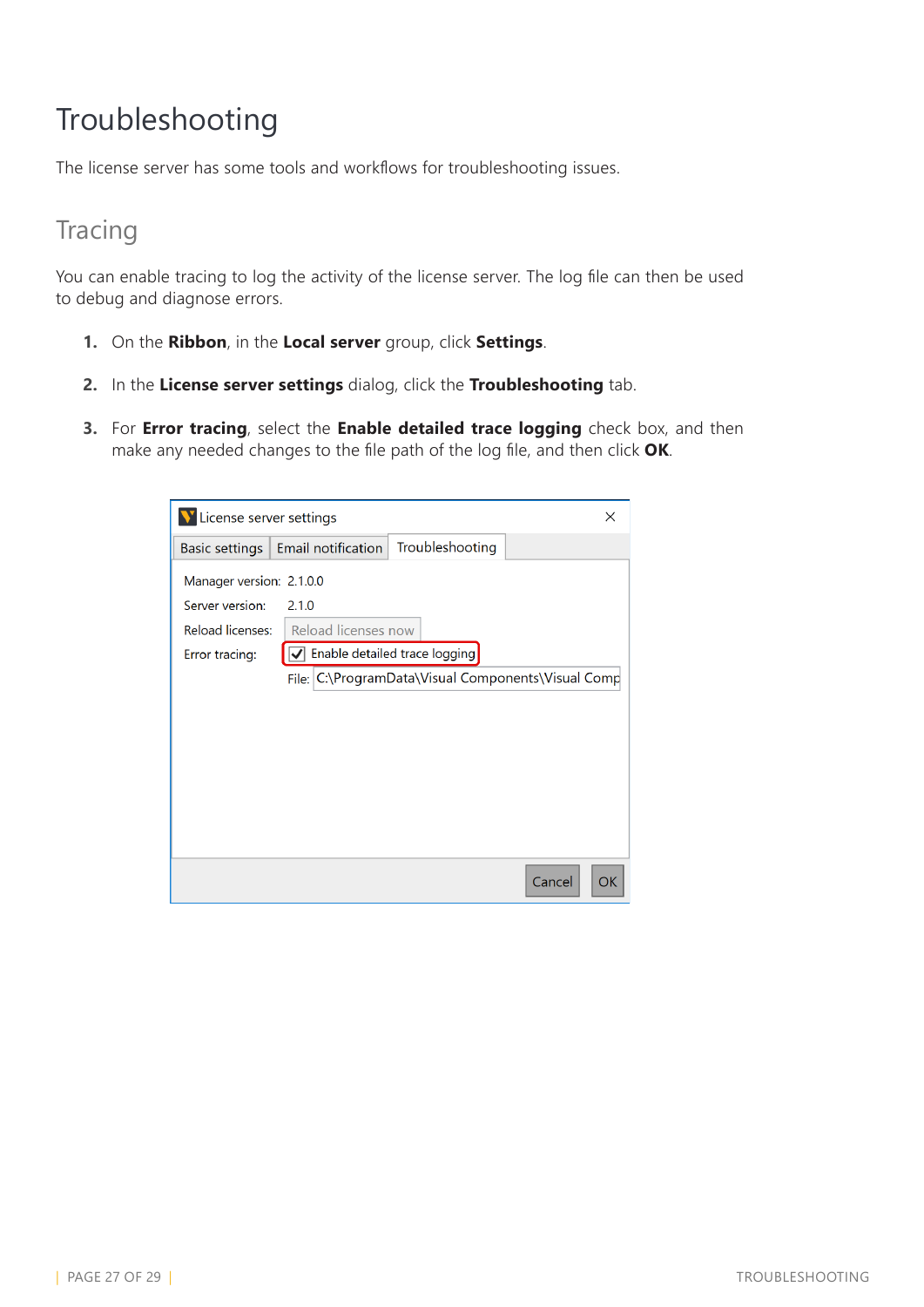# <span id="page-26-0"></span>Troubleshooting

The license server has some tools and workflows for troubleshooting issues.

### **Tracing**

You can enable tracing to log the activity of the license server. The log file can then be used to debug and diagnose errors.

- **1.** On the **Ribbon**, in the **Local server** group, click **Settings**.
- **2.** In the **License server settings** dialog, click the **Troubleshooting** tab.
- **3.** For **Error tracing**, select the **Enable detailed trace logging** check box, and then make any needed changes to the file path of the log file, and then click **OK**.

| License server settings<br>× |                                                       |
|------------------------------|-------------------------------------------------------|
| Basic settings               | Troubleshooting<br>Email notification                 |
| Manager version: 2.1.0.0     |                                                       |
| Server version:              | 2.1.0                                                 |
| Reload licenses:             | Reload licenses now                                   |
| Error tracing:               | Enable detailed trace logging                         |
|                              | C:\ProgramData\Visual Components\Visual Comp<br>File: |
|                              |                                                       |
|                              |                                                       |
|                              |                                                       |
|                              |                                                       |
|                              |                                                       |
|                              |                                                       |
|                              | Cancel<br><b>OK</b>                                   |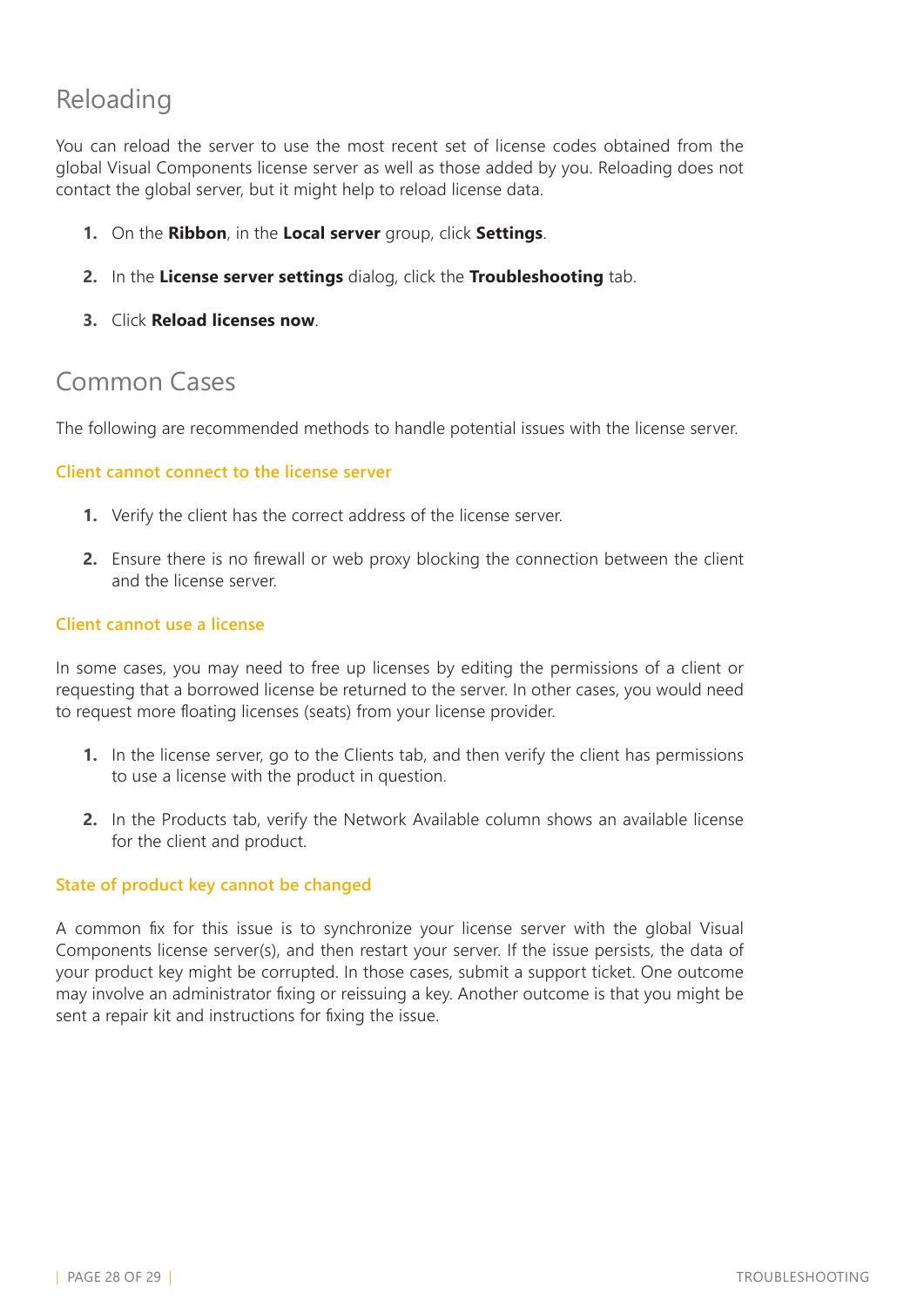### Reloading

You can reload the server to use the most recent set of license codes obtained from the global Visual Components license server as well as those added by you. Reloading does not contact the global server, but it might help to reload license data.

- **1.** On the **Ribbon**, in the **Local server** group, click **Settings**.
- **2.** In the **License server settings** dialog, click the **Troubleshooting** tab.
- **3.** Click **Reload licenses now**.

### Common Cases

The following are recommended methods to handle potential issues with the license server.

#### **Client cannot connect to the license server**

- **1.** Verify the client has the correct address of the license server.
- **2.** Ensure there is no firewall or web proxy blocking the connection between the client and the license server.

#### **Client cannot use a license**

In some cases, you may need to free up licenses by editing the permissions of a client or requesting that a borrowed license be returned to the server. In other cases, you would need to request more floating licenses (seats) from your license provider.

- **1.** In the license server, go to the Clients tab, and then verify the client has permissions to use a license with the product in question.
- **2.** In the Products tab, verify the Network Available column shows an available license for the client and product.

#### **State of product key cannot be changed**

A common fix for this issue is to synchronize your license server with the global Visual Components license server(s), and then restart your server. If the issue persists, the data of your product key might be corrupted. In those cases, submit a support ticket. One outcome may involve an administrator fixing or reissuing a key. Another outcome is that you might be sent a repair kit and instructions for fixing the issue.